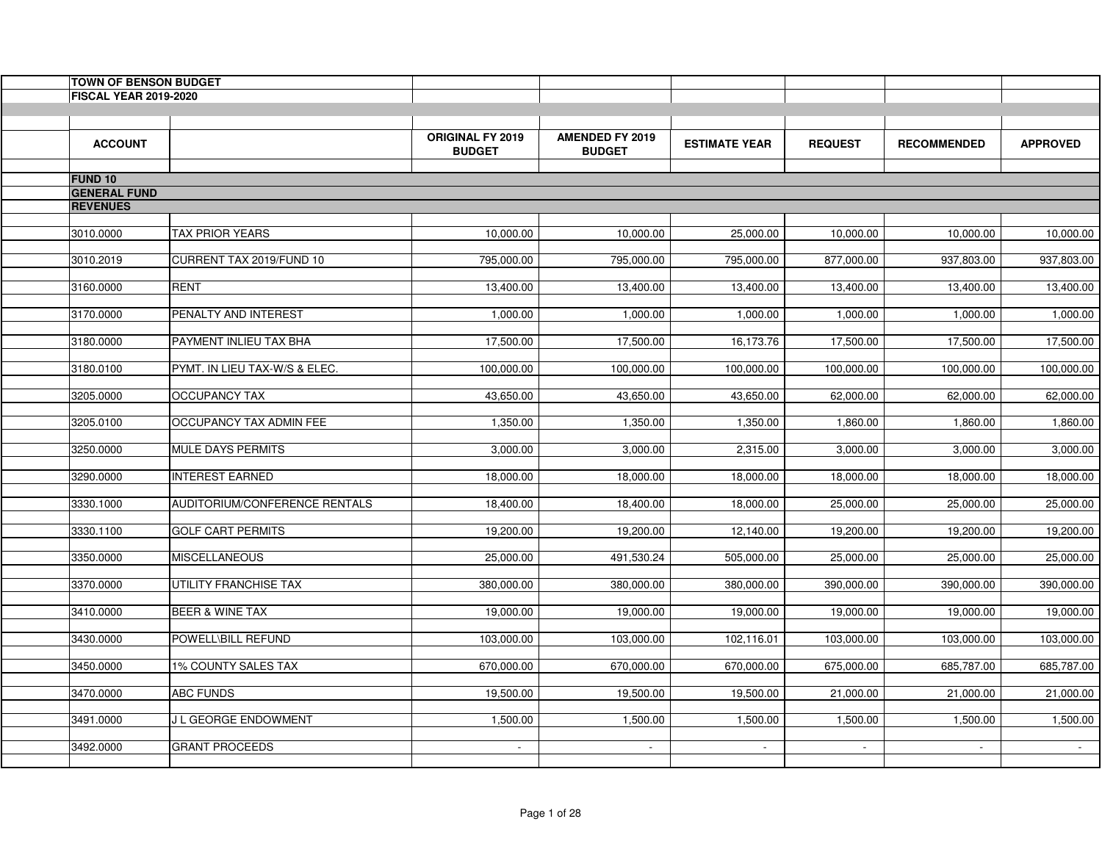| <b>TOWN OF BENSON BUDGET</b> |                                      |                                          |                                         |                      |                |                    |                 |
|------------------------------|--------------------------------------|------------------------------------------|-----------------------------------------|----------------------|----------------|--------------------|-----------------|
| <b>FISCAL YEAR 2019-2020</b> |                                      |                                          |                                         |                      |                |                    |                 |
|                              |                                      |                                          |                                         |                      |                |                    |                 |
| <b>ACCOUNT</b>               |                                      | <b>ORIGINAL FY 2019</b><br><b>BUDGET</b> | <b>AMENDED FY 2019</b><br><b>BUDGET</b> | <b>ESTIMATE YEAR</b> | <b>REQUEST</b> | <b>RECOMMENDED</b> | <b>APPROVED</b> |
| <b>FUND 10</b>               |                                      |                                          |                                         |                      |                |                    |                 |
| <b>GENERAL FUND</b>          |                                      |                                          |                                         |                      |                |                    |                 |
| <b>REVENUES</b>              |                                      |                                          |                                         |                      |                |                    |                 |
|                              |                                      |                                          |                                         |                      |                |                    |                 |
| 3010.0000                    | <b>TAX PRIOR YEARS</b>               | 10,000.00                                | 10,000.00                               | 25,000.00            | 10,000.00      | 10,000.00          | 10,000.00       |
| 3010.2019                    | CURRENT TAX 2019/FUND 10             | 795,000.00                               | 795,000.00                              | 795,000.00           | 877,000.00     | 937,803.00         | 937,803.00      |
|                              |                                      |                                          |                                         |                      |                |                    |                 |
| 3160.0000                    | <b>RENT</b>                          | 13,400.00                                | 13,400.00                               | 13,400.00            | 13,400.00      | 13,400.00          | 13,400.00       |
| 3170.0000                    | PENALTY AND INTEREST                 | 1,000.00                                 | 1,000.00                                | 1,000.00             | 1,000.00       | 1,000.00           | 1,000.00        |
|                              |                                      |                                          |                                         |                      |                |                    |                 |
| 3180.0000                    | PAYMENT INLIEU TAX BHA               | 17,500.00                                | 17,500.00                               | 16,173.76            | 17,500.00      | 17,500.00          | 17,500.00       |
|                              |                                      |                                          |                                         |                      |                |                    |                 |
| 3180.0100                    | PYMT. IN LIEU TAX-W/S & ELEC.        | 100,000.00                               | 100,000.00                              | 100,000.00           | 100,000.00     | 100,000.00         | 100,000.00      |
| 3205.0000                    | <b>OCCUPANCY TAX</b>                 | 43,650.00                                | 43,650.00                               | 43,650.00            | 62,000.00      | 62,000.00          | 62,000.00       |
|                              |                                      |                                          |                                         |                      |                |                    |                 |
| 3205.0100                    | OCCUPANCY TAX ADMIN FEE              | 1,350.00                                 | 1,350.00                                | 1,350.00             | 1,860.00       | 1,860.00           | 1,860.00        |
| 3250.0000                    | <b>MULE DAYS PERMITS</b>             | 3,000.00                                 | 3,000.00                                | 2,315.00             | 3,000.00       | 3,000.00           | 3,000.00        |
|                              |                                      |                                          |                                         |                      |                |                    |                 |
| 3290.0000                    | <b>INTEREST EARNED</b>               | 18,000.00                                | 18,000.00                               | 18,000.00            | 18,000.00      | 18,000.00          | 18,000.00       |
| 3330.1000                    | <b>AUDITORIUM/CONFERENCE RENTALS</b> | 18,400.00                                | 18,400.00                               | 18,000.00            | 25,000.00      | 25,000.00          | 25,000.00       |
|                              |                                      |                                          |                                         |                      |                |                    |                 |
| 3330.1100                    | <b>GOLF CART PERMITS</b>             | 19,200.00                                | 19,200.00                               | 12,140.00            | 19,200.00      | 19,200.00          | 19,200.00       |
| 3350.0000                    |                                      | 25,000.00                                |                                         |                      |                |                    |                 |
|                              | <b>MISCELLANEOUS</b>                 |                                          | 491,530.24                              | 505,000.00           | 25,000.00      | 25,000.00          | 25,000.00       |
| 3370.0000                    | UTILITY FRANCHISE TAX                | 380,000.00                               | 380,000.00                              | 380,000.00           | 390,000.00     | 390,000.00         | 390,000.00      |
|                              |                                      |                                          |                                         |                      |                |                    |                 |
| 3410.0000                    | <b>BEER &amp; WINE TAX</b>           | 19,000.00                                | 19,000.00                               | 19,000.00            | 19,000.00      | 19,000.00          | 19,000.00       |
| 3430.0000                    | POWELL\BILL REFUND                   | 103,000.00                               | 103,000.00                              | 102,116.01           | 103,000.00     | 103,000.00         | 103,000.00      |
|                              |                                      |                                          |                                         |                      |                |                    |                 |
| 3450.0000                    | 1% COUNTY SALES TAX                  | 670,000.00                               | 670,000.00                              | 670,000.00           | 675,000.00     | 685,787.00         | 685,787.00      |
| 3470.0000                    | <b>ABC FUNDS</b>                     | 19,500.00                                | 19,500.00                               | 19,500.00            | 21,000.00      | 21,000.00          | 21,000.00       |
|                              |                                      |                                          |                                         |                      |                |                    |                 |
| 3491.0000                    | J L GEORGE ENDOWMENT                 | 1,500.00                                 | 1,500.00                                | 1,500.00             | 1,500.00       | 1,500.00           | 1,500.00        |
| 3492.0000                    | <b>GRANT PROCEEDS</b>                | $\sim$                                   | $\sim$                                  | $\sim$               | $\blacksquare$ | $\sim$             | $\sim$          |
|                              |                                      |                                          |                                         |                      |                |                    |                 |
|                              |                                      |                                          |                                         |                      |                |                    |                 |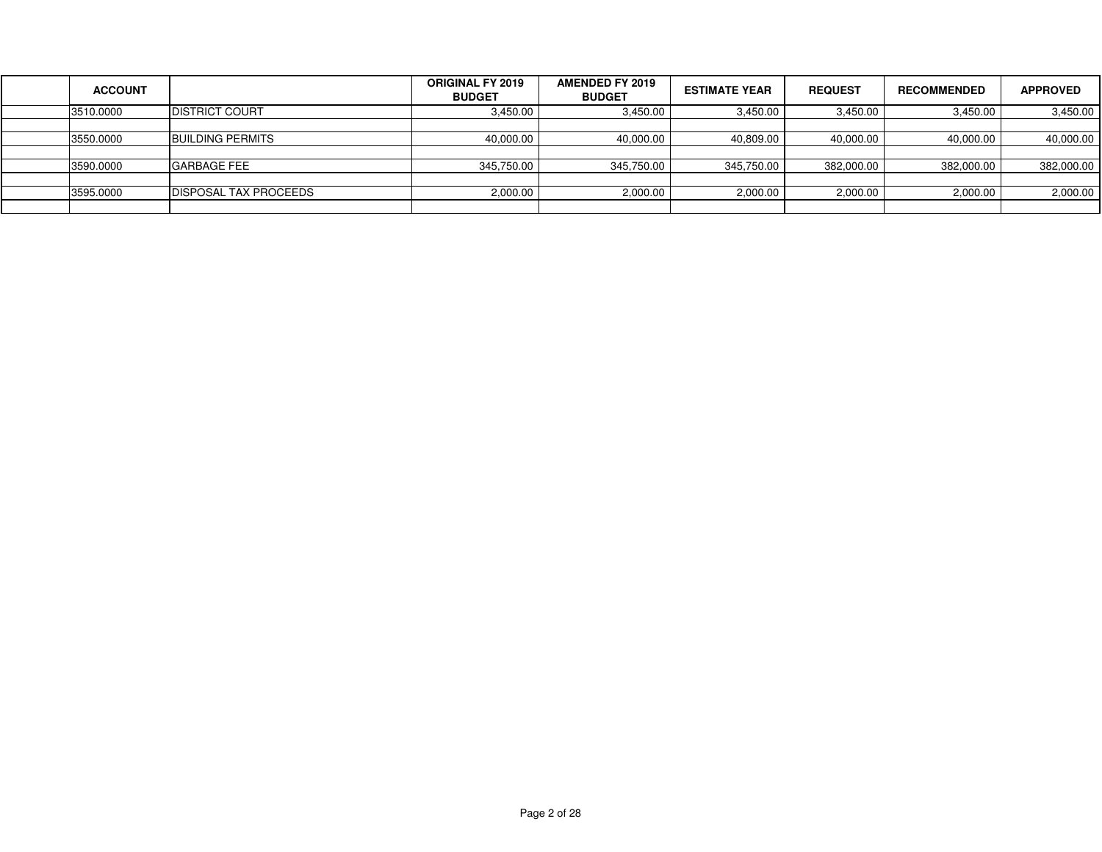| <b>ACCOUNT</b> |                         | <b>ORIGINAL FY 2019</b><br><b>BUDGET</b> | <b>AMENDED FY 2019</b><br><b>BUDGET</b> | <b>ESTIMATE YEAR</b> | <b>REQUEST</b> | <b>RECOMMENDED</b> | <b>APPROVED</b> |
|----------------|-------------------------|------------------------------------------|-----------------------------------------|----------------------|----------------|--------------------|-----------------|
| 3510.0000      | <b>DISTRICT COURT</b>   | 3,450.00                                 | 3,450.00                                | 3,450.00             | 3,450.00       | 3,450.00           | 3,450.00        |
|                |                         |                                          |                                         |                      |                |                    |                 |
| 3550.0000      | <b>BUILDING PERMITS</b> | 40,000.00                                | 40,000.00                               | 40,809.00            | 40,000.00      | 40,000.00          | 40,000.00       |
|                |                         |                                          |                                         |                      |                |                    |                 |
| 3590.0000      | <b>GARBAGE FEE</b>      | 345,750.00                               | 345,750.00                              | 345,750.00           | 382,000.00     | 382,000.00         | 382,000.00      |
|                |                         |                                          |                                         |                      |                |                    |                 |
| 3595.0000      | IDISPOSAL TAX PROCEEDS  | 2,000.00                                 | 2,000.00                                | 2,000.00             | 2,000.00       | 2,000.00           | 2,000.00        |
|                |                         |                                          |                                         |                      |                |                    |                 |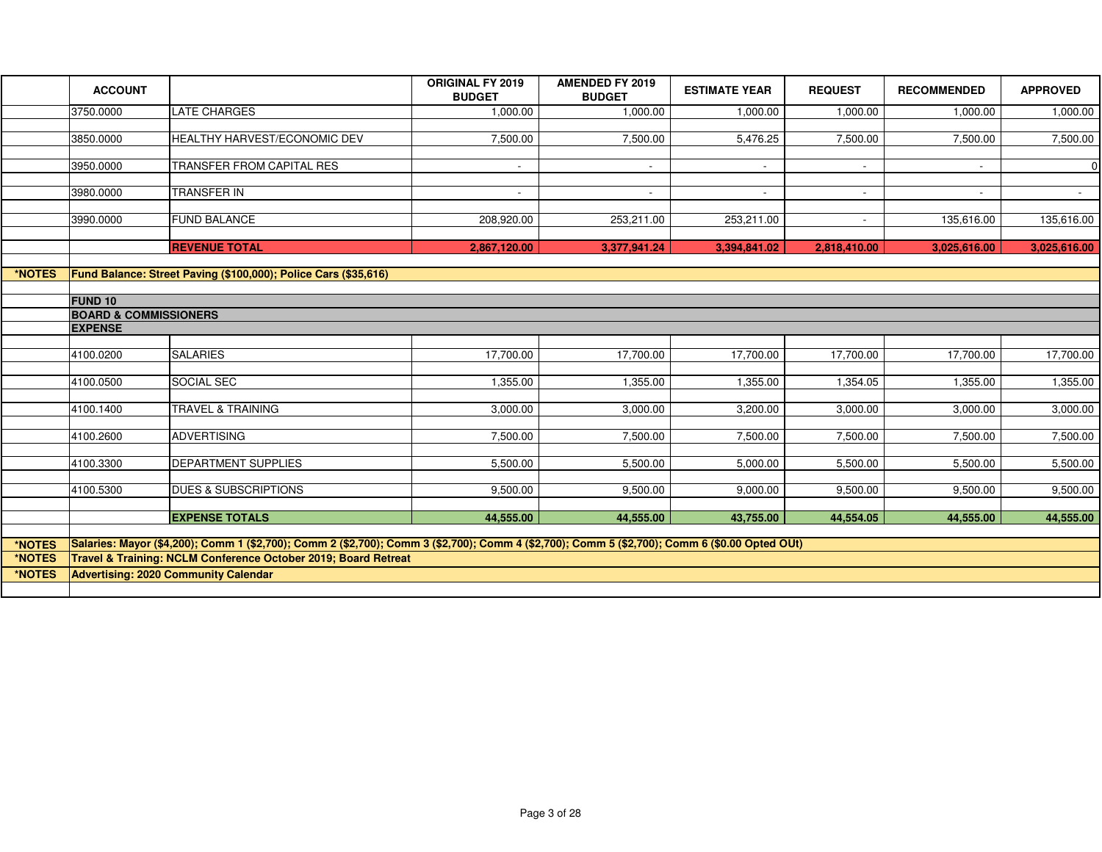|        | <b>ACCOUNT</b>                   |                                                                                                                                                | <b>ORIGINAL FY 2019</b><br><b>BUDGET</b> | <b>AMENDED FY 2019</b><br><b>BUDGET</b> | <b>ESTIMATE YEAR</b> | <b>REQUEST</b> | <b>RECOMMENDED</b> | <b>APPROVED</b> |
|--------|----------------------------------|------------------------------------------------------------------------------------------------------------------------------------------------|------------------------------------------|-----------------------------------------|----------------------|----------------|--------------------|-----------------|
|        | 3750.0000                        | <b>LATE CHARGES</b>                                                                                                                            | 1,000.00                                 | 1,000.00                                | 1,000.00             | 1,000.00       | 1,000.00           | 1,000.00        |
|        |                                  |                                                                                                                                                |                                          |                                         |                      |                |                    |                 |
|        | 3850.0000                        | HEALTHY HARVEST/ECONOMIC DEV                                                                                                                   | 7,500.00                                 | 7,500.00                                | 5,476.25             | 7,500.00       | 7,500.00           | 7,500.00        |
|        |                                  |                                                                                                                                                |                                          |                                         |                      |                |                    |                 |
|        | 3950.0000                        | <b>TRANSFER FROM CAPITAL RES</b>                                                                                                               | $\overline{a}$                           | $\sim$                                  | $\sim$               | $\sim$         |                    | $\overline{0}$  |
|        | 3980.0000                        | <b>TRANSFER IN</b>                                                                                                                             | $\sim$                                   | $\sim$                                  | $\sim$               | $\sim$         | $\sim$             | $\sim$          |
|        |                                  |                                                                                                                                                |                                          |                                         |                      |                |                    |                 |
|        | 3990.0000                        | <b>FUND BALANCE</b>                                                                                                                            | 208,920.00                               | 253,211.00                              | 253,211.00           |                | 135,616.00         | 135,616.00      |
|        |                                  |                                                                                                                                                |                                          |                                         |                      |                |                    |                 |
|        |                                  | <b>REVENUE TOTAL</b>                                                                                                                           | 2,867,120.00                             | 3,377,941.24                            | 3,394,841.02         | 2,818,410.00   | 3,025,616.00       | 3,025,616.00    |
|        |                                  |                                                                                                                                                |                                          |                                         |                      |                |                    |                 |
| *NOTES |                                  | Fund Balance: Street Paving (\$100,000); Police Cars (\$35,616)                                                                                |                                          |                                         |                      |                |                    |                 |
|        | <b>FUND 10</b>                   |                                                                                                                                                |                                          |                                         |                      |                |                    |                 |
|        | <b>BOARD &amp; COMMISSIONERS</b> |                                                                                                                                                |                                          |                                         |                      |                |                    |                 |
|        | <b>EXPENSE</b>                   |                                                                                                                                                |                                          |                                         |                      |                |                    |                 |
|        |                                  |                                                                                                                                                |                                          |                                         |                      |                |                    |                 |
|        | 4100.0200                        | <b>SALARIES</b>                                                                                                                                | 17,700.00                                | 17,700.00                               | 17,700.00            | 17,700.00      | 17,700.00          | 17,700.00       |
|        |                                  |                                                                                                                                                |                                          |                                         |                      |                |                    |                 |
|        | 4100.0500                        | SOCIAL SEC                                                                                                                                     | 1,355.00                                 | 1,355.00                                | 1,355.00             | 1,354.05       | 1,355.00           | 1,355.00        |
|        |                                  |                                                                                                                                                |                                          |                                         |                      |                |                    |                 |
|        | 4100.1400                        | <b>TRAVEL &amp; TRAINING</b>                                                                                                                   | 3,000.00                                 | 3,000.00                                | 3,200.00             | 3,000.00       | 3,000.00           | 3,000.00        |
|        |                                  |                                                                                                                                                |                                          |                                         |                      |                |                    |                 |
|        | 4100.2600                        | ADVERTISING                                                                                                                                    | 7,500.00                                 | 7,500.00                                | 7,500.00             | 7,500.00       | 7,500.00           | 7,500.00        |
|        | 4100.3300                        | <b>DEPARTMENT SUPPLIES</b>                                                                                                                     | 5,500.00                                 | 5,500.00                                | 5,000.00             | 5,500.00       | 5,500.00           | 5,500.00        |
|        |                                  |                                                                                                                                                |                                          |                                         |                      |                |                    |                 |
|        | 4100.5300                        | <b>DUES &amp; SUBSCRIPTIONS</b>                                                                                                                | 9,500.00                                 | 9,500.00                                | 9,000.00             | 9,500.00       | 9,500.00           | 9,500.00        |
|        |                                  |                                                                                                                                                |                                          |                                         |                      |                |                    |                 |
|        |                                  | <b>EXPENSE TOTALS</b>                                                                                                                          | 44,555.00                                | 44,555.00                               | 43,755.00            | 44,554.05      | 44,555.00          | 44,555.00       |
|        |                                  |                                                                                                                                                |                                          |                                         |                      |                |                    |                 |
| *NOTES |                                  | Salaries: Mayor (\$4,200); Comm 1 (\$2,700); Comm 2 (\$2,700); Comm 3 (\$2,700); Comm 4 (\$2,700); Comm 5 (\$2,700); Comm 6 (\$0.00 Opted OUt) |                                          |                                         |                      |                |                    |                 |
| *NOTES |                                  | Travel & Training: NCLM Conference October 2019; Board Retreat                                                                                 |                                          |                                         |                      |                |                    |                 |
| *NOTES |                                  | <b>Advertising: 2020 Community Calendar</b>                                                                                                    |                                          |                                         |                      |                |                    |                 |
|        |                                  |                                                                                                                                                |                                          |                                         |                      |                |                    |                 |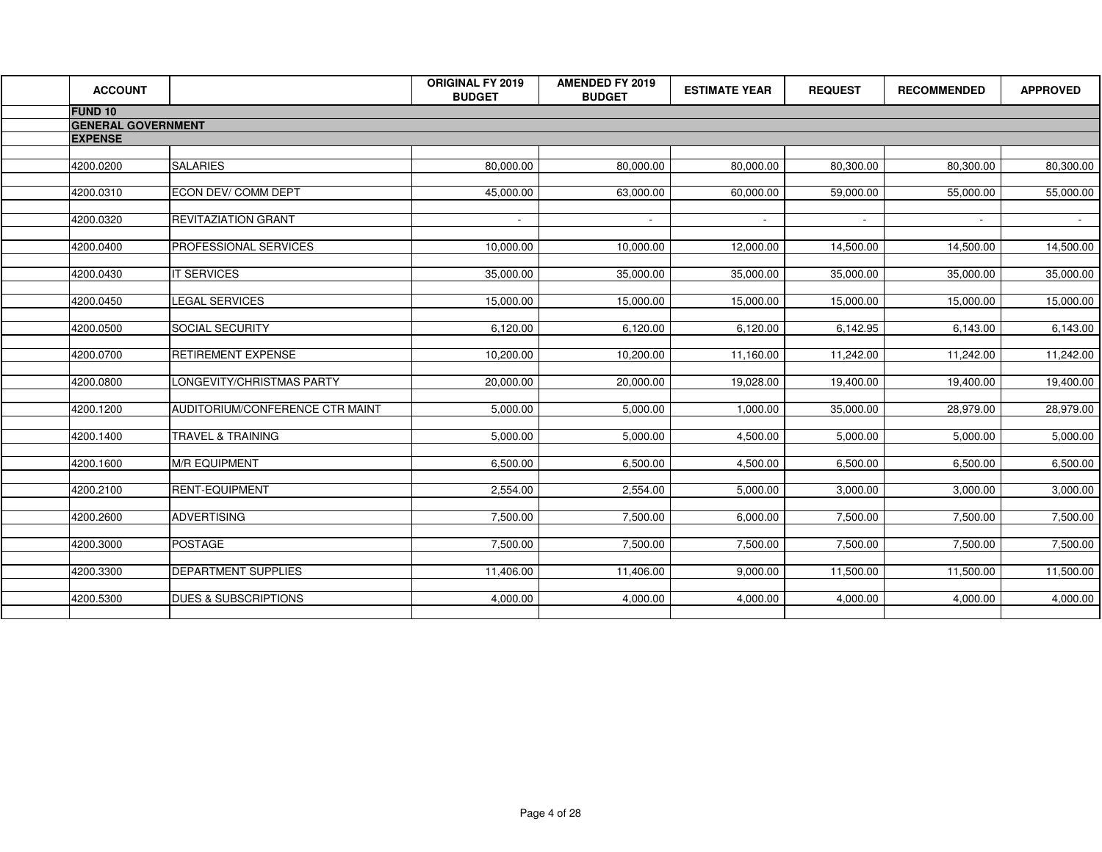| <b>ACCOUNT</b>            |                                 | ORIGINAL FY 2019<br><b>BUDGET</b> | <b>AMENDED FY 2019</b><br><b>BUDGET</b> | <b>ESTIMATE YEAR</b> | <b>REQUEST</b> | <b>RECOMMENDED</b> | <b>APPROVED</b> |
|---------------------------|---------------------------------|-----------------------------------|-----------------------------------------|----------------------|----------------|--------------------|-----------------|
| <b>FUND 10</b>            |                                 |                                   |                                         |                      |                |                    |                 |
| <b>GENERAL GOVERNMENT</b> |                                 |                                   |                                         |                      |                |                    |                 |
| <b>EXPENSE</b>            |                                 |                                   |                                         |                      |                |                    |                 |
|                           |                                 |                                   |                                         |                      |                |                    |                 |
| 4200.0200                 | <b>SALARIES</b>                 | 80,000.00                         | 80,000.00                               | 80,000.00            | 80,300.00      | 80,300.00          | 80,300.00       |
| 4200.0310                 | ECON DEV/ COMM DEPT             | 45,000.00                         | 63,000.00                               | 60,000.00            | 59,000.00      | 55,000.00          | 55,000.00       |
| 4200.0320                 | REVITAZIATION GRANT             | $\sim$                            | $\sim$                                  | $\sim$               | $\sim$         | $\sim$             | $\sim 10^{-11}$ |
| 4200.0400                 | PROFESSIONAL SERVICES           | 10,000.00                         | 10,000.00                               | 12,000.00            | 14,500.00      | 14,500.00          | 14,500.00       |
| 4200.0430                 | IT SERVICES                     | 35,000.00                         | 35,000.00                               | 35,000.00            | 35,000.00      | 35,000.00          | 35,000.00       |
| 4200.0450                 | LEGAL SERVICES                  | 15,000.00                         | 15,000.00                               | 15,000.00            | 15,000.00      | 15,000.00          | 15,000.00       |
| 4200.0500                 | SOCIAL SECURITY                 | 6,120.00                          | 6,120.00                                | 6,120.00             | 6,142.95       | 6,143.00           | 6,143.00        |
| 4200.0700                 | RETIREMENT EXPENSE              | 10,200.00                         | 10,200.00                               | 11,160.00            | 11,242.00      | 11,242.00          | 11,242.00       |
| 4200.0800                 | LONGEVITY/CHRISTMAS PARTY       | 20,000.00                         | 20,000.00                               | 19,028.00            | 19,400.00      | 19,400.00          | 19,400.00       |
| 4200.1200                 | AUDITORIUM/CONFERENCE CTR MAINT | 5,000.00                          | 5,000.00                                | 1,000.00             | 35,000.00      | 28,979.00          | 28,979.00       |
| 4200.1400                 | TRAVEL & TRAINING               | 5,000.00                          | 5,000.00                                | 4,500.00             | 5,000.00       | 5,000.00           | 5,000.00        |
| 4200.1600                 | <b>M/R EQUIPMENT</b>            | 6,500.00                          | 6,500.00                                | 4,500.00             | 6,500.00       | 6,500.00           | 6,500.00        |
| 4200.2100                 | <b>RENT-EQUIPMENT</b>           | 2,554.00                          | 2,554.00                                | 5,000.00             | 3,000.00       | 3,000.00           | 3,000.00        |
| 4200.2600                 | <b>ADVERTISING</b>              | 7,500.00                          | 7,500.00                                | 6,000.00             | 7,500.00       | 7,500.00           | 7,500.00        |
| 4200.3000                 | <b>POSTAGE</b>                  | 7,500.00                          | 7,500.00                                | 7,500.00             | 7,500.00       | 7,500.00           | 7,500.00        |
| 4200.3300                 | DEPARTMENT SUPPLIES             | 11,406.00                         | 11,406.00                               | 9,000.00             | 11,500.00      | 11,500.00          | 11,500.00       |
| 4200.5300                 | <b>DUES &amp; SUBSCRIPTIONS</b> | 4,000.00                          | 4,000.00                                | 4,000.00             | 4,000.00       | 4,000.00           | 4,000.00        |
|                           |                                 |                                   |                                         |                      |                |                    |                 |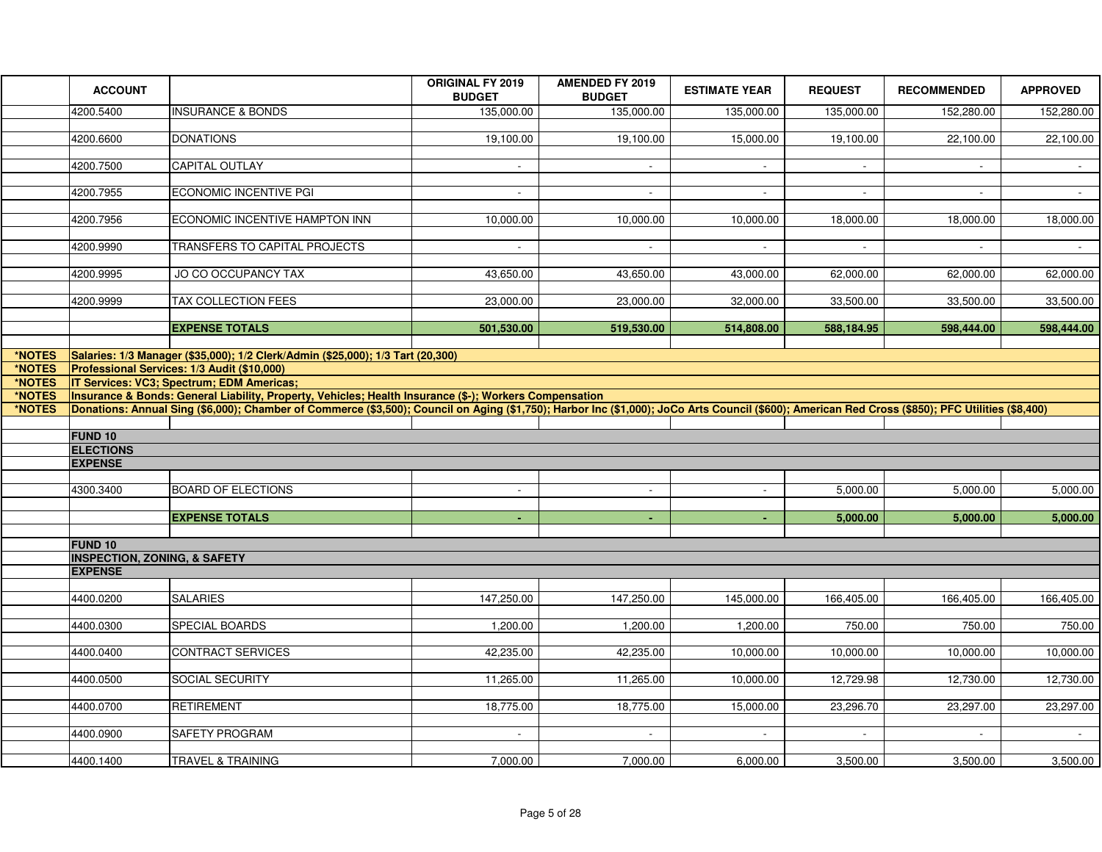|                                      | <b>ACCOUNT</b>                          |                                                                                                                                                                                                                                                                                                                                                                                                         | ORIGINAL FY 2019<br><b>BUDGET</b> | <b>AMENDED FY 2019</b><br><b>BUDGET</b> | <b>ESTIMATE YEAR</b> | <b>REQUEST</b> | <b>RECOMMENDED</b> | <b>APPROVED</b> |
|--------------------------------------|-----------------------------------------|---------------------------------------------------------------------------------------------------------------------------------------------------------------------------------------------------------------------------------------------------------------------------------------------------------------------------------------------------------------------------------------------------------|-----------------------------------|-----------------------------------------|----------------------|----------------|--------------------|-----------------|
|                                      | 4200.5400                               | <b>INSURANCE &amp; BONDS</b>                                                                                                                                                                                                                                                                                                                                                                            | 135,000.00                        | 135,000.00                              | 135,000.00           | 135,000.00     | 152,280.00         | 152,280.00      |
|                                      | 4200.6600                               | <b>DONATIONS</b>                                                                                                                                                                                                                                                                                                                                                                                        | 19,100.00                         | 19,100.00                               | 15,000.00            | 19,100.00      | 22,100.00          | 22,100.00       |
|                                      | 4200.7500                               | CAPITAL OUTLAY                                                                                                                                                                                                                                                                                                                                                                                          |                                   |                                         |                      |                |                    | $\sim$          |
|                                      | 4200.7955                               | <b>ECONOMIC INCENTIVE PGI</b>                                                                                                                                                                                                                                                                                                                                                                           |                                   |                                         |                      |                |                    |                 |
|                                      | 4200.7956                               | ECONOMIC INCENTIVE HAMPTON INN                                                                                                                                                                                                                                                                                                                                                                          | 10,000.00                         | 10,000.00                               | 10,000.00            | 18,000.00      | 18,000.00          | 18,000.00       |
|                                      | 4200.9990                               | TRANSFERS TO CAPITAL PROJECTS                                                                                                                                                                                                                                                                                                                                                                           | $\sim$                            | $\sim$                                  | $\sim$               | $\sim$         | $\sim$             | $\sim$ $-$      |
|                                      | 4200.9995                               | JO CO OCCUPANCY TAX                                                                                                                                                                                                                                                                                                                                                                                     | 43,650.00                         | 43,650.00                               | 43,000.00            | 62,000.00      | 62,000.00          | 62,000.00       |
|                                      | 4200.9999                               | <b>TAX COLLECTION FEES</b>                                                                                                                                                                                                                                                                                                                                                                              | 23,000.00                         | 23,000.00                               | 32,000.00            | 33,500.00      | 33,500.00          | 33,500.00       |
|                                      |                                         | <b>EXPENSE TOTALS</b>                                                                                                                                                                                                                                                                                                                                                                                   | 501,530.00                        | 519,530.00                              | 514,808.00           | 588,184.95     | 598,444.00         | 598,444.00      |
| *NOTES                               |                                         | Salaries: 1/3 Manager (\$35,000); 1/2 Clerk/Admin (\$25,000); 1/3 Tart (20,300)                                                                                                                                                                                                                                                                                                                         |                                   |                                         |                      |                |                    |                 |
| *NOTES<br>*NOTES<br>*NOTES<br>*NOTES |                                         | Professional Services: 1/3 Audit (\$10,000)<br>IT Services: VC3; Spectrum; EDM Americas;<br>Insurance & Bonds: General Liability, Property, Vehicles; Health Insurance (\$-); Workers Compensation<br>Donations: Annual Sing (\$6,000); Chamber of Commerce (\$3,500); Council on Aging (\$1,750); Harbor Inc (\$1,000); JoCo Arts Council (\$600); American Red Cross (\$850); PFC Utilities (\$8,400) |                                   |                                         |                      |                |                    |                 |
|                                      |                                         |                                                                                                                                                                                                                                                                                                                                                                                                         |                                   |                                         |                      |                |                    |                 |
|                                      | <b>FUND 10</b><br><b>ELECTIONS</b>      |                                                                                                                                                                                                                                                                                                                                                                                                         |                                   |                                         |                      |                |                    |                 |
|                                      | <b>EXPENSE</b>                          |                                                                                                                                                                                                                                                                                                                                                                                                         |                                   |                                         |                      |                |                    |                 |
|                                      | 4300.3400                               | <b>BOARD OF ELECTIONS</b>                                                                                                                                                                                                                                                                                                                                                                               | $\sim$                            | $\sim$                                  | $\sim$               | 5,000.00       | 5,000.00           | 5,000.00        |
|                                      |                                         | <b>EXPENSE TOTALS</b>                                                                                                                                                                                                                                                                                                                                                                                   | $\sim$                            | $\pm$ .                                 | ÷.                   | 5,000.00       | 5,000.00           | 5,000.00        |
|                                      | <b>FUND 10</b>                          |                                                                                                                                                                                                                                                                                                                                                                                                         |                                   |                                         |                      |                |                    |                 |
|                                      | <b>INSPECTION, ZONING, &amp; SAFETY</b> |                                                                                                                                                                                                                                                                                                                                                                                                         |                                   |                                         |                      |                |                    |                 |
|                                      | <b>EXPENSE</b>                          |                                                                                                                                                                                                                                                                                                                                                                                                         |                                   |                                         |                      |                |                    |                 |
|                                      | 4400.0200                               | <b>SALARIES</b>                                                                                                                                                                                                                                                                                                                                                                                         | 147,250.00                        | 147,250.00                              | 145,000.00           | 166,405.00     | 166,405.00         | 166,405.00      |
|                                      | 4400.0300                               | SPECIAL BOARDS                                                                                                                                                                                                                                                                                                                                                                                          | 1,200.00                          | 1,200.00                                | 1,200.00             | 750.00         | 750.00             | 750.00          |
|                                      | 4400.0400                               | CONTRACT SERVICES                                                                                                                                                                                                                                                                                                                                                                                       | 42,235.00                         | 42,235.00                               | 10,000.00            | 10,000.00      | 10,000.00          | 10,000.00       |
|                                      | 4400.0500                               | SOCIAL SECURITY                                                                                                                                                                                                                                                                                                                                                                                         | 11,265.00                         | 11,265.00                               | 10,000.00            | 12,729.98      | 12,730.00          | 12,730.00       |
|                                      | 4400.0700                               | <b>RETIREMENT</b>                                                                                                                                                                                                                                                                                                                                                                                       | 18,775.00                         | 18,775.00                               | 15,000.00            | 23,296.70      | 23,297.00          | 23,297.00       |
|                                      | 4400.0900                               | SAFETY PROGRAM                                                                                                                                                                                                                                                                                                                                                                                          | $\sim$                            | $\sim$                                  | $\sim$               | $\sim$         | $\blacksquare$     | $\sim$          |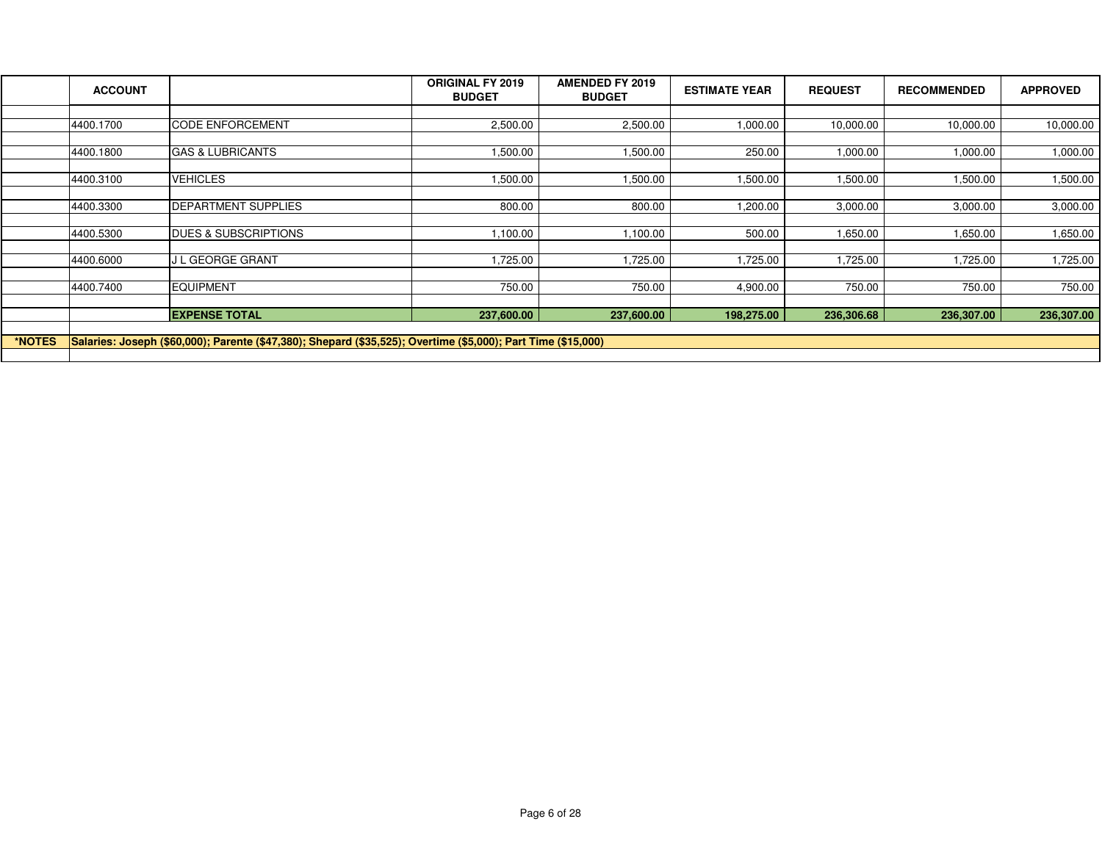|        | <b>ACCOUNT</b> |                                                                                                               | <b>ORIGINAL FY 2019</b><br><b>BUDGET</b> | <b>AMENDED FY 2019</b><br><b>BUDGET</b> | <b>ESTIMATE YEAR</b> | <b>REQUEST</b> | <b>RECOMMENDED</b> | <b>APPROVED</b> |
|--------|----------------|---------------------------------------------------------------------------------------------------------------|------------------------------------------|-----------------------------------------|----------------------|----------------|--------------------|-----------------|
|        |                |                                                                                                               |                                          |                                         |                      |                |                    |                 |
|        | 4400.1700      | <b>CODE ENFORCEMENT</b>                                                                                       | 2,500.00                                 | 2,500.00                                | 1,000.00             | 10,000.00      | 10,000.00          | 10,000.00       |
|        |                |                                                                                                               |                                          |                                         |                      |                |                    |                 |
|        | 4400.1800      | <b>GAS &amp; LUBRICANTS</b>                                                                                   | 1,500.00                                 | 1,500.00                                | 250.00               | 1,000.00       | 1,000.00           | 1,000.00        |
|        |                |                                                                                                               |                                          |                                         |                      |                |                    |                 |
|        | 4400.3100      | <b>VEHICLES</b>                                                                                               | 1,500.00                                 | 1,500.00                                | 1,500.00             | 1,500.00       | 1,500.00           | 1,500.00        |
|        |                |                                                                                                               |                                          |                                         |                      |                |                    |                 |
|        | 4400.3300      | <b>DEPARTMENT SUPPLIES</b>                                                                                    | 800.00                                   | 800.00                                  | 1,200.00             | 3,000.00       | 3,000.00           | 3,000.00        |
|        |                |                                                                                                               |                                          |                                         |                      |                |                    |                 |
|        | 4400.5300      | <b>DUES &amp; SUBSCRIPTIONS</b>                                                                               | 1,100.00                                 | 1,100.00                                | 500.00               | 1,650.00       | 1,650.00           | 1,650.00        |
|        |                |                                                                                                               |                                          |                                         |                      |                |                    |                 |
|        | 4400.6000      | <b>J L GEORGE GRANT</b>                                                                                       | 1,725.00                                 | 1,725.00                                | 1,725.00             | 1,725.00       | 1,725.00           | 1,725.00        |
|        |                |                                                                                                               |                                          |                                         |                      |                |                    |                 |
|        | 4400.7400      | <b>EQUIPMENT</b>                                                                                              | 750.00                                   | 750.00                                  | 4,900.00             | 750.00         | 750.00             | 750.00          |
|        |                |                                                                                                               |                                          |                                         |                      |                |                    |                 |
|        |                | <b>EXPENSE TOTAL</b>                                                                                          | 237,600.00                               | 237,600.00                              | 198,275.00           | 236,306.68     | 236,307.00         | 236,307.00      |
|        |                |                                                                                                               |                                          |                                         |                      |                |                    |                 |
| *NOTES |                | Salaries: Joseph (\$60,000); Parente (\$47,380); Shepard (\$35,525); Overtime (\$5,000); Part Time (\$15,000) |                                          |                                         |                      |                |                    |                 |
|        |                |                                                                                                               |                                          |                                         |                      |                |                    |                 |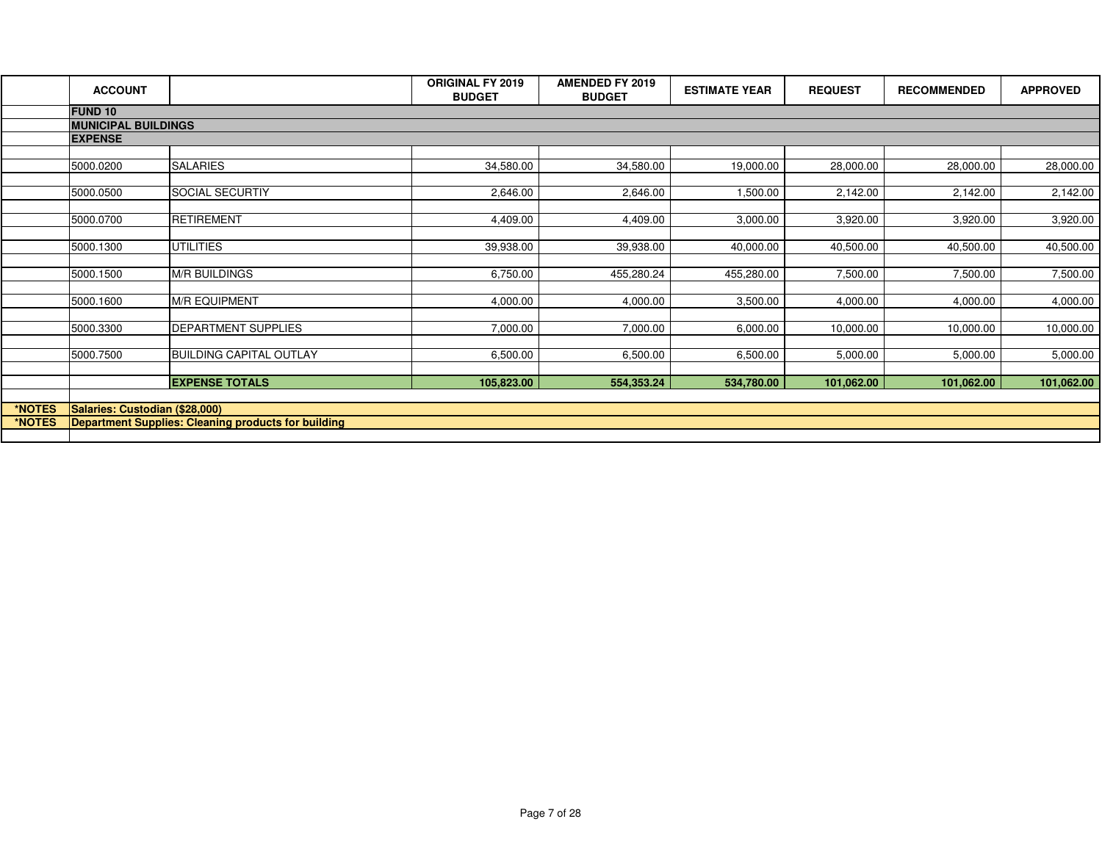|        | <b>ACCOUNT</b>                 |                                                     | <b>ORIGINAL FY 2019</b><br><b>BUDGET</b> | <b>AMENDED FY 2019</b><br><b>BUDGET</b> | <b>ESTIMATE YEAR</b> | <b>REQUEST</b> | <b>RECOMMENDED</b> | <b>APPROVED</b> |
|--------|--------------------------------|-----------------------------------------------------|------------------------------------------|-----------------------------------------|----------------------|----------------|--------------------|-----------------|
|        | <b>FUND 10</b>                 |                                                     |                                          |                                         |                      |                |                    |                 |
|        | <b>MUNICIPAL BUILDINGS</b>     |                                                     |                                          |                                         |                      |                |                    |                 |
|        | <b>EXPENSE</b>                 |                                                     |                                          |                                         |                      |                |                    |                 |
|        | 5000.0200                      | <b>SALARIES</b>                                     | 34,580.00                                | 34,580.00                               | 19,000.00            | 28,000.00      | 28,000.00          | 28,000.00       |
|        | 5000.0500                      | <b>SOCIAL SECURTIY</b>                              | 2,646.00                                 | 2,646.00                                | 1,500.00             | 2,142.00       | 2,142.00           | 2,142.00        |
|        | 5000.0700                      | <b>RETIREMENT</b>                                   | 4,409.00                                 | 4,409.00                                | 3,000.00             | 3,920.00       | 3,920.00           | 3,920.00        |
|        | 5000.1300                      | <b>UTILITIES</b>                                    | 39,938.00                                | 39,938.00                               | 40,000.00            | 40,500.00      | 40,500.00          | 40,500.00       |
|        | 5000.1500                      | <b>M/R BUILDINGS</b>                                | 6,750.00                                 | 455,280.24                              | 455,280.00           | 7,500.00       | 7,500.00           | 7,500.00        |
|        | 5000.1600                      | <b>M/R EQUIPMENT</b>                                | 4,000.00                                 | 4,000.00                                | 3,500.00             | 4,000.00       | 4,000.00           | 4,000.00        |
|        | 5000.3300                      | DEPARTMENT SUPPLIES                                 | 7,000.00                                 | 7,000.00                                | 6,000.00             | 10,000.00      | 10,000.00          | 10,000.00       |
|        | 5000.7500                      | <b>BUILDING CAPITAL OUTLAY</b>                      | 6,500.00                                 | 6,500.00                                | 6,500.00             | 5,000.00       | 5,000.00           | 5,000.00        |
|        |                                | <b>EXPENSE TOTALS</b>                               | 105,823.00                               | 554,353.24                              | 534,780.00           | 101,062.00     | 101,062.00         | 101,062.00      |
| *NOTES | Salaries: Custodian (\$28,000) |                                                     |                                          |                                         |                      |                |                    |                 |
| *NOTES |                                | Department Supplies: Cleaning products for building |                                          |                                         |                      |                |                    |                 |
|        |                                |                                                     |                                          |                                         |                      |                |                    |                 |
|        |                                |                                                     |                                          |                                         |                      |                |                    |                 |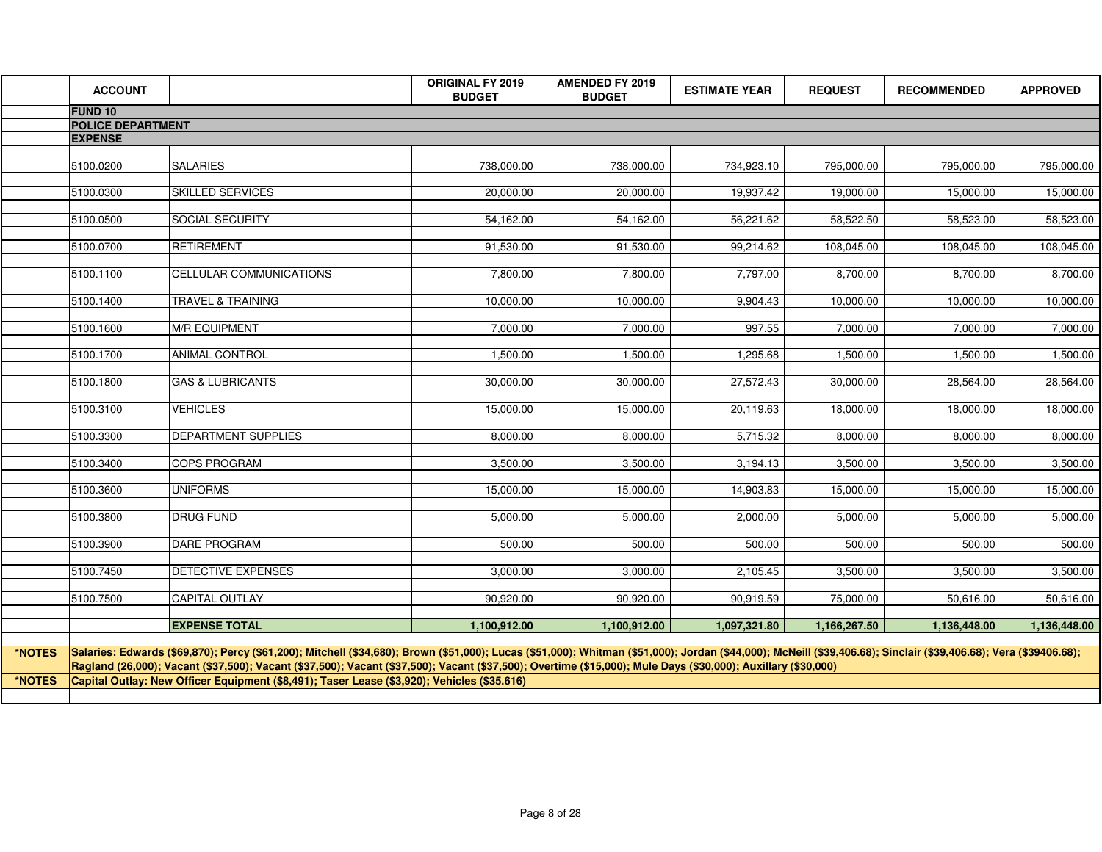|        | <b>ACCOUNT</b>                             |                                                                                                                                                                                                                                                                                                                                                                                                       | <b>ORIGINAL FY 2019</b><br><b>BUDGET</b> | <b>AMENDED FY 2019</b><br><b>BUDGET</b> | <b>ESTIMATE YEAR</b> | <b>REQUEST</b> | <b>RECOMMENDED</b> | <b>APPROVED</b> |
|--------|--------------------------------------------|-------------------------------------------------------------------------------------------------------------------------------------------------------------------------------------------------------------------------------------------------------------------------------------------------------------------------------------------------------------------------------------------------------|------------------------------------------|-----------------------------------------|----------------------|----------------|--------------------|-----------------|
|        | <b>FUND 10</b>                             |                                                                                                                                                                                                                                                                                                                                                                                                       |                                          |                                         |                      |                |                    |                 |
|        | <b>POLICE DEPARTMENT</b><br><b>EXPENSE</b> |                                                                                                                                                                                                                                                                                                                                                                                                       |                                          |                                         |                      |                |                    |                 |
|        |                                            |                                                                                                                                                                                                                                                                                                                                                                                                       |                                          |                                         |                      |                |                    |                 |
|        | 5100.0200                                  | <b>SALARIES</b>                                                                                                                                                                                                                                                                                                                                                                                       | 738,000.00                               | 738,000.00                              | 734,923.10           | 795,000.00     | 795,000.00         | 795,000.00      |
|        | 5100.0300                                  | <b>SKILLED SERVICES</b>                                                                                                                                                                                                                                                                                                                                                                               | 20,000.00                                | 20,000.00                               | 19,937.42            | 19,000.00      | 15.000.00          | 15,000.00       |
|        | 5100.0500                                  | <b>SOCIAL SECURITY</b>                                                                                                                                                                                                                                                                                                                                                                                | 54,162.00                                | 54,162.00                               | 56,221.62            | 58,522.50      | 58,523.00          | 58,523.00       |
|        | 5100.0700                                  | <b>RETIREMENT</b>                                                                                                                                                                                                                                                                                                                                                                                     | 91,530.00                                | 91,530.00                               | 99,214.62            | 108,045.00     | 108,045.00         | 108,045.00      |
|        | 5100.1100                                  | <b>CELLULAR COMMUNICATIONS</b>                                                                                                                                                                                                                                                                                                                                                                        | 7,800.00                                 | 7,800.00                                | 7,797.00             | 8,700.00       | 8,700.00           | 8,700.00        |
|        | 5100.1400                                  | <b>TRAVEL &amp; TRAINING</b>                                                                                                                                                                                                                                                                                                                                                                          | 10,000.00                                | 10,000.00                               | 9,904.43             | 10,000.00      | 10,000.00          | 10,000.00       |
|        | 5100.1600                                  | <b>M/R EQUIPMENT</b>                                                                                                                                                                                                                                                                                                                                                                                  | 7,000.00                                 | 7,000.00                                | 997.55               | 7,000.00       | 7,000.00           | 7,000.00        |
|        | 5100.1700                                  | <b>ANIMAL CONTROL</b>                                                                                                                                                                                                                                                                                                                                                                                 | 1,500.00                                 | 1,500.00                                | 1,295.68             | 1,500.00       | 1,500.00           | 1,500.00        |
|        | 5100.1800                                  | <b>GAS &amp; LUBRICANTS</b>                                                                                                                                                                                                                                                                                                                                                                           | 30,000.00                                | 30,000.00                               | 27,572.43            | 30,000.00      | 28,564.00          | 28,564.00       |
|        | 5100.3100                                  | <b>VEHICLES</b>                                                                                                                                                                                                                                                                                                                                                                                       | 15,000.00                                | 15,000.00                               | 20,119.63            | 18,000.00      | 18,000.00          | 18,000.00       |
|        | 5100.3300                                  | DEPARTMENT SUPPLIES                                                                                                                                                                                                                                                                                                                                                                                   | 8,000.00                                 | 8,000.00                                | 5,715.32             | 8,000.00       | 8,000.00           | 8,000.00        |
|        | 5100.3400                                  | <b>COPS PROGRAM</b>                                                                                                                                                                                                                                                                                                                                                                                   | 3,500.00                                 | 3,500.00                                | 3,194.13             | 3,500.00       | 3,500.00           | 3,500.00        |
|        | 5100.3600                                  | <b>UNIFORMS</b>                                                                                                                                                                                                                                                                                                                                                                                       | 15,000.00                                | 15,000.00                               | 14,903.83            | 15,000.00      | 15,000.00          | 15,000.00       |
|        | 5100.3800                                  | <b>DRUG FUND</b>                                                                                                                                                                                                                                                                                                                                                                                      | 5,000.00                                 | 5,000.00                                | 2,000.00             | 5,000.00       | 5,000.00           | 5,000.00        |
|        | 5100.3900                                  | <b>DARE PROGRAM</b>                                                                                                                                                                                                                                                                                                                                                                                   | 500.00                                   | 500.00                                  | 500.00               | 500.00         | 500.00             | 500.00          |
|        | 5100.7450                                  | <b>DETECTIVE EXPENSES</b>                                                                                                                                                                                                                                                                                                                                                                             | 3,000.00                                 | 3,000.00                                | 2,105.45             | 3,500.00       | 3,500.00           | 3,500.00        |
|        | 5100.7500                                  | <b>CAPITAL OUTLAY</b>                                                                                                                                                                                                                                                                                                                                                                                 | 90,920.00                                | 90,920.00                               | 90,919.59            | 75,000.00      | 50,616.00          | 50,616.00       |
|        |                                            | <b>EXPENSE TOTAL</b>                                                                                                                                                                                                                                                                                                                                                                                  | 1,100,912.00                             | 1,100,912.00                            | 1,097,321.80         | 1,166,267.50   | 1,136,448.00       | 1,136,448.00    |
| *NOTES |                                            | Salaries: Edwards (\$69,870); Percy (\$61,200); Mitchell (\$34,680); Brown (\$51,000); Lucas (\$51,000); Whitman (\$51,000); Jordan (\$44,000); McNeill (\$39,406.68); Sinclair (\$39,406.68); Vera (\$39406.68); Vera (\$39406.68);<br>Ragland (26,000); Vacant (\$37,500); Vacant (\$37,500); Vacant (\$37,500); Vacant (\$37,500); Overtime (\$15,000); Mule Days (\$30,000); Auxillary (\$30,000) |                                          |                                         |                      |                |                    |                 |
| *NOTES |                                            | Capital Outlay: New Officer Equipment (\$8,491); Taser Lease (\$3,920); Vehicles (\$35.616)                                                                                                                                                                                                                                                                                                           |                                          |                                         |                      |                |                    |                 |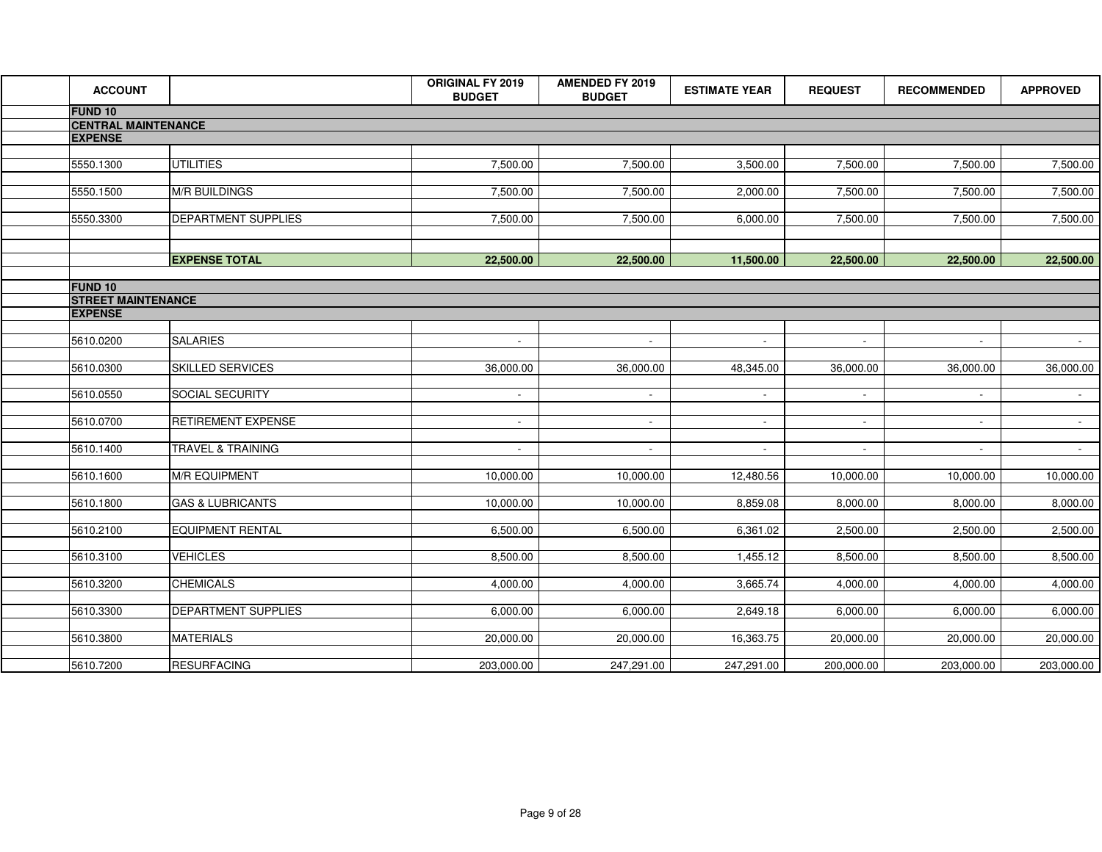| <b>ACCOUNT</b>             |                              | <b>ORIGINAL FY 2019</b><br><b>BUDGET</b> | <b>AMENDED FY 2019</b><br><b>BUDGET</b> | <b>ESTIMATE YEAR</b> | <b>REQUEST</b> | <b>RECOMMENDED</b> | <b>APPROVED</b>     |
|----------------------------|------------------------------|------------------------------------------|-----------------------------------------|----------------------|----------------|--------------------|---------------------|
| <b>FUND 10</b>             |                              |                                          |                                         |                      |                |                    |                     |
| <b>CENTRAL MAINTENANCE</b> |                              |                                          |                                         |                      |                |                    |                     |
| <b>EXPENSE</b>             |                              |                                          |                                         |                      |                |                    |                     |
| 5550.1300                  | <b>UTILITIES</b>             | 7,500.00                                 | 7,500.00                                | 3,500.00             | 7,500.00       | 7,500.00           | 7,500.00            |
| 5550.1500                  | <b>M/R BUILDINGS</b>         | 7,500.00                                 | 7,500.00                                | 2,000.00             | 7,500.00       | 7,500.00           | 7,500.00            |
| 5550.3300                  | <b>DEPARTMENT SUPPLIES</b>   | 7,500.00                                 | 7,500.00                                | 6,000.00             | 7,500.00       | 7,500.00           | 7,500.00            |
|                            |                              |                                          |                                         |                      |                |                    |                     |
|                            | <b>EXPENSE TOTAL</b>         | 22,500.00                                | 22,500.00                               | 11,500.00            | 22,500.00      | 22,500.00          | 22,500.00           |
| <b>FUND 10</b>             |                              |                                          |                                         |                      |                |                    |                     |
| <b>STREET MAINTENANCE</b>  |                              |                                          |                                         |                      |                |                    |                     |
| <b>EXPENSE</b>             |                              |                                          |                                         |                      |                |                    |                     |
| 5610.0200                  | <b>SALARIES</b>              | $\sim$                                   | $\sim$                                  | $\sim$               | $\sim$         | $\sim$             | $\sigma_{\rm{max}}$ |
| 5610.0300                  | <b>SKILLED SERVICES</b>      | 36,000.00                                | 36,000.00                               | 48,345.00            | 36,000.00      | 36,000.00          | 36,000.00           |
| 5610.0550                  | SOCIAL SECURITY              | $\sim$                                   | $\sim$                                  | $\sim$               | $\sim$         | $\sim$             | $\sim$              |
| 5610.0700                  | <b>RETIREMENT EXPENSE</b>    | $\sim$                                   | $\sim$                                  | $\sim$               | $\sim$         | $\sim$             | $\sim 100$          |
| 5610.1400                  | <b>TRAVEL &amp; TRAINING</b> |                                          | $\mathbf{r}$                            |                      |                |                    | $\sim$              |
| 5610.1600                  | <b>M/R EQUIPMENT</b>         | 10,000.00                                | 10,000.00                               | 12,480.56            | 10,000.00      | 10,000.00          | 10,000.00           |
| 5610.1800                  | <b>GAS &amp; LUBRICANTS</b>  | 10,000.00                                | 10,000.00                               | 8,859.08             | 8,000.00       | 8,000.00           | 8,000.00            |
| 5610.2100                  | <b>EQUIPMENT RENTAL</b>      | 6,500.00                                 | 6,500.00                                | 6,361.02             | 2,500.00       | 2,500.00           | 2,500.00            |
| 5610.3100                  | <b>VEHICLES</b>              | 8,500.00                                 | 8,500.00                                | 1,455.12             | 8,500.00       | 8,500.00           | 8,500.00            |
| 5610.3200                  | <b>CHEMICALS</b>             | 4,000.00                                 | 4,000.00                                | 3,665.74             | 4,000.00       | 4,000.00           | 4,000.00            |
| 5610.3300                  | DEPARTMENT SUPPLIES          | 6,000.00                                 | 6,000.00                                | 2,649.18             | 6,000.00       | 6,000.00           | 6,000.00            |
| 5610.3800                  | <b>MATERIALS</b>             | 20,000.00                                | 20,000.00                               | 16,363.75            | 20,000.00      | 20,000.00          | 20,000.00           |
| 5610.7200                  | <b>RESURFACING</b>           | 203,000.00                               | 247,291.00                              | 247,291.00           | 200,000.00     | 203,000.00         | 203,000.00          |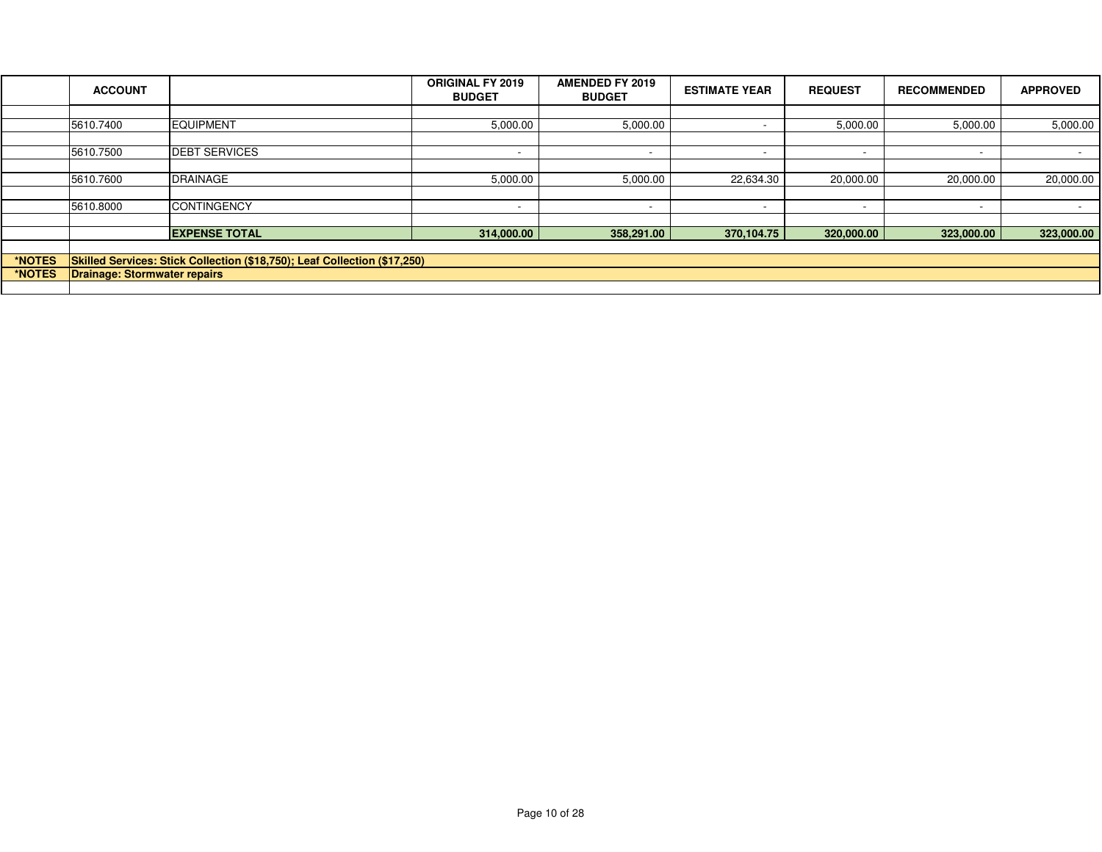|        | <b>ACCOUNT</b>               |                                                                           | <b>ORIGINAL FY 2019</b><br><b>BUDGET</b> | <b>AMENDED FY 2019</b><br><b>BUDGET</b> | <b>ESTIMATE YEAR</b>     | <b>REQUEST</b>           | <b>RECOMMENDED</b> | <b>APPROVED</b> |
|--------|------------------------------|---------------------------------------------------------------------------|------------------------------------------|-----------------------------------------|--------------------------|--------------------------|--------------------|-----------------|
|        |                              |                                                                           |                                          |                                         |                          |                          |                    |                 |
|        | 5610.7400                    | <b>EQUIPMENT</b>                                                          | 5,000.00                                 | 5,000.00                                |                          | 5,000.00                 | 5,000.00           | 5,000.00        |
|        |                              |                                                                           |                                          |                                         |                          |                          |                    |                 |
|        | 5610.7500                    | <b>DEBT SERVICES</b>                                                      |                                          | $\overline{\phantom{a}}$                | $\overline{\phantom{0}}$ | $\overline{\phantom{a}}$ |                    |                 |
|        |                              |                                                                           |                                          |                                         |                          |                          |                    |                 |
|        | 5610.7600                    | <b>DRAINAGE</b>                                                           | 5,000.00                                 | 5,000.00                                | 22,634.30                | 20,000.00                | 20,000.00          | 20,000.00       |
|        |                              |                                                                           |                                          |                                         |                          |                          |                    |                 |
|        | 5610.8000                    | <b>CONTINGENCY</b>                                                        | $\overline{\phantom{0}}$                 | $\overline{\phantom{0}}$                | $\overline{\phantom{a}}$ | $\overline{\phantom{0}}$ |                    |                 |
|        |                              |                                                                           |                                          |                                         |                          |                          |                    |                 |
|        |                              | <b>EXPENSE TOTAL</b>                                                      | 314,000.00                               | 358,291.00                              | 370,104.75               | 320,000.00               | 323,000.00         | 323,000.00      |
|        |                              |                                                                           |                                          |                                         |                          |                          |                    |                 |
| *NOTES |                              | Skilled Services: Stick Collection (\$18,750); Leaf Collection (\$17,250) |                                          |                                         |                          |                          |                    |                 |
| *NOTES | Drainage: Stormwater repairs |                                                                           |                                          |                                         |                          |                          |                    |                 |
|        |                              |                                                                           |                                          |                                         |                          |                          |                    |                 |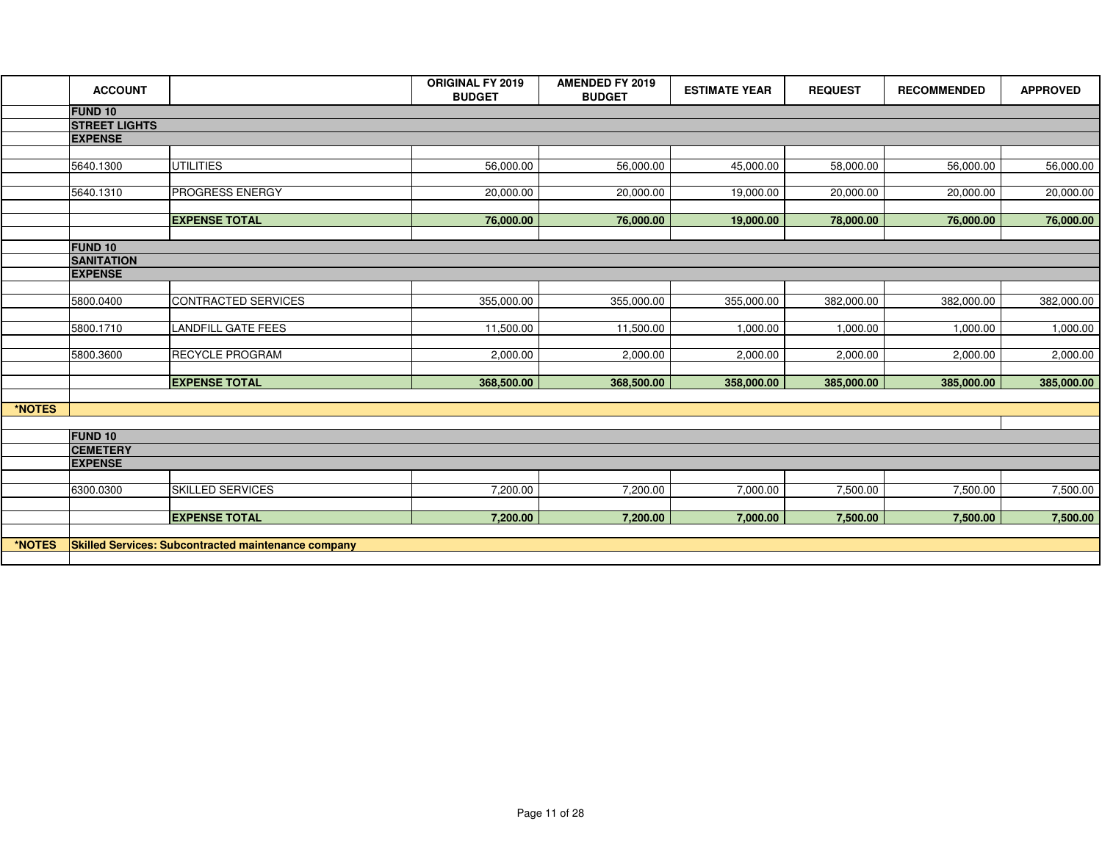|        | <b>ACCOUNT</b>       |                                                            | <b>ORIGINAL FY 2019</b><br><b>BUDGET</b> | <b>AMENDED FY 2019</b><br><b>BUDGET</b> | <b>ESTIMATE YEAR</b> | <b>REQUEST</b> | <b>RECOMMENDED</b> | <b>APPROVED</b> |  |
|--------|----------------------|------------------------------------------------------------|------------------------------------------|-----------------------------------------|----------------------|----------------|--------------------|-----------------|--|
|        | <b>FUND 10</b>       |                                                            |                                          |                                         |                      |                |                    |                 |  |
|        | <b>STREET LIGHTS</b> |                                                            |                                          |                                         |                      |                |                    |                 |  |
|        | <b>EXPENSE</b>       |                                                            |                                          |                                         |                      |                |                    |                 |  |
|        |                      |                                                            |                                          |                                         |                      |                |                    |                 |  |
|        | 5640.1300            | <b>UTILITIES</b>                                           | 56,000.00                                | 56,000.00                               | 45,000.00            | 58,000.00      | 56,000.00          | 56,000.00       |  |
|        | 5640.1310            | PROGRESS ENERGY                                            | 20,000.00                                | 20,000.00                               | 19,000.00            | 20,000.00      |                    |                 |  |
|        |                      |                                                            |                                          |                                         |                      |                | 20,000.00          | 20,000.00       |  |
|        |                      | <b>EXPENSE TOTAL</b>                                       | 76,000.00                                | 76,000.00                               | 19,000.00            | 78,000.00      | 76,000.00          | 76,000.00       |  |
|        |                      |                                                            |                                          |                                         |                      |                |                    |                 |  |
|        | <b>FUND 10</b>       |                                                            |                                          |                                         |                      |                |                    |                 |  |
|        | <b>SANITATION</b>    |                                                            |                                          |                                         |                      |                |                    |                 |  |
|        | <b>EXPENSE</b>       |                                                            |                                          |                                         |                      |                |                    |                 |  |
|        |                      |                                                            |                                          |                                         |                      |                |                    |                 |  |
|        | 5800.0400            | CONTRACTED SERVICES                                        | 355,000.00                               | 355,000.00                              | 355,000.00           | 382,000.00     | 382,000.00         | 382,000.00      |  |
|        |                      |                                                            |                                          |                                         |                      |                |                    |                 |  |
|        | 5800.1710            | LANDFILL GATE FEES                                         | 11,500.00                                | 11,500.00                               | 1,000.00             | 1,000.00       | 1,000.00           | 1,000.00        |  |
|        | 5800.3600            | RECYCLE PROGRAM                                            | 2,000.00                                 | 2,000.00                                | 2,000.00             | 2,000.00       | 2,000.00           | 2,000.00        |  |
|        |                      |                                                            |                                          |                                         |                      |                |                    |                 |  |
|        |                      | <b>EXPENSE TOTAL</b>                                       | 368,500.00                               | 368,500.00                              | 358,000.00           | 385,000.00     | 385,000.00         | 385,000.00      |  |
|        |                      |                                                            |                                          |                                         |                      |                |                    |                 |  |
| *NOTES |                      |                                                            |                                          |                                         |                      |                |                    |                 |  |
|        |                      |                                                            |                                          |                                         |                      |                |                    |                 |  |
|        | <b>FUND 10</b>       |                                                            |                                          |                                         |                      |                |                    |                 |  |
|        | <b>CEMETERY</b>      |                                                            |                                          |                                         |                      |                |                    |                 |  |
|        | <b>EXPENSE</b>       |                                                            |                                          |                                         |                      |                |                    |                 |  |
|        | 6300.0300            | <b>SKILLED SERVICES</b>                                    | 7,200.00                                 | 7,200.00                                | 7,000.00             | 7,500.00       | 7,500.00           | 7,500.00        |  |
|        |                      |                                                            |                                          |                                         |                      |                |                    |                 |  |
|        |                      | <b>EXPENSE TOTAL</b>                                       | 7,200.00                                 | 7,200.00                                | 7,000.00             | 7,500.00       | 7,500.00           | 7,500.00        |  |
|        |                      |                                                            |                                          |                                         |                      |                |                    |                 |  |
| *NOTES |                      | <b>Skilled Services: Subcontracted maintenance company</b> |                                          |                                         |                      |                |                    |                 |  |
|        |                      |                                                            |                                          |                                         |                      |                |                    |                 |  |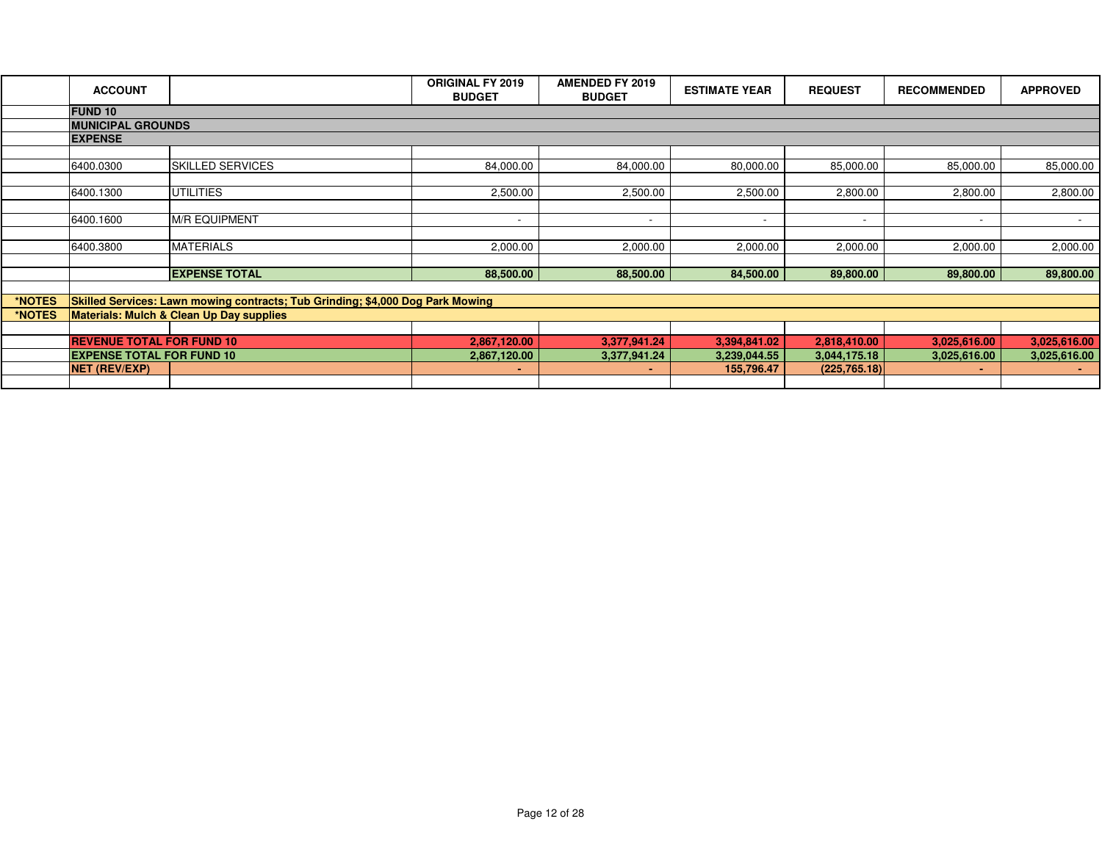|        | <b>ACCOUNT</b>                                                       |                                                                                | <b>ORIGINAL FY 2019</b><br><b>BUDGET</b> | <b>AMENDED FY 2019</b><br><b>BUDGET</b> | <b>ESTIMATE YEAR</b>       | <b>REQUEST</b>                 | <b>RECOMMENDED</b> | <b>APPROVED</b> |
|--------|----------------------------------------------------------------------|--------------------------------------------------------------------------------|------------------------------------------|-----------------------------------------|----------------------------|--------------------------------|--------------------|-----------------|
|        | <b>FUND 10</b>                                                       |                                                                                |                                          |                                         |                            |                                |                    |                 |
|        | <b>MUNICIPAL GROUNDS</b>                                             |                                                                                |                                          |                                         |                            |                                |                    |                 |
|        | <b>EXPENSE</b>                                                       |                                                                                |                                          |                                         |                            |                                |                    |                 |
|        |                                                                      |                                                                                |                                          |                                         |                            |                                |                    |                 |
|        | 6400.0300                                                            | <b>SKILLED SERVICES</b>                                                        | 84,000.00                                | 84,000.00                               | 80,000.00                  | 85,000.00                      | 85,000.00          | 85,000.00       |
|        |                                                                      |                                                                                |                                          |                                         |                            |                                |                    |                 |
|        | 6400.1300                                                            | <b>UTILITIES</b>                                                               | 2,500.00                                 | 2,500.00                                | 2,500.00                   | 2,800.00                       | 2,800.00           | 2,800.00        |
|        |                                                                      |                                                                                |                                          |                                         |                            |                                |                    |                 |
|        | 6400.1600                                                            | <b>M/R EQUIPMENT</b>                                                           | $\overline{\phantom{a}}$                 | $\overline{\phantom{a}}$                | $\overline{\phantom{a}}$   |                                |                    |                 |
|        |                                                                      |                                                                                |                                          |                                         |                            |                                |                    |                 |
|        | 6400.3800                                                            | <b>MATERIALS</b>                                                               | 2,000.00                                 | 2,000.00                                | 2,000.00                   | 2,000.00                       | 2,000.00           | 2,000.00        |
|        |                                                                      |                                                                                |                                          |                                         |                            |                                |                    |                 |
|        |                                                                      | <b>EXPENSE TOTAL</b>                                                           | 88,500.00                                | 88,500.00                               | 84,500.00                  | 89,800.00                      | 89,800.00          | 89,800.00       |
|        |                                                                      |                                                                                |                                          |                                         |                            |                                |                    |                 |
| *NOTES |                                                                      | Skilled Services: Lawn mowing contracts; Tub Grinding; \$4,000 Dog Park Mowing |                                          |                                         |                            |                                |                    |                 |
| *NOTES |                                                                      | Materials: Mulch & Clean Up Day supplies                                       |                                          |                                         |                            |                                |                    |                 |
|        |                                                                      |                                                                                |                                          |                                         |                            |                                |                    |                 |
|        | <b>REVENUE TOTAL FOR FUND 10</b><br><b>EXPENSE TOTAL FOR FUND 10</b> |                                                                                | 2,867,120.00                             | 3,377,941.24                            | 3,394,841.02               | 2,818,410.00                   | 3,025,616.00       | 3,025,616.00    |
|        | <b>NET (REV/EXP)</b>                                                 |                                                                                | 2,867,120.00                             | 3,377,941.24                            | 3,239,044.55<br>155,796.47 | 3,044,175.18<br>(225, 765, 18) | 3,025,616.00       | 3,025,616.00    |
|        |                                                                      |                                                                                | ٠                                        | ٠                                       |                            |                                |                    |                 |
|        |                                                                      |                                                                                |                                          |                                         |                            |                                |                    |                 |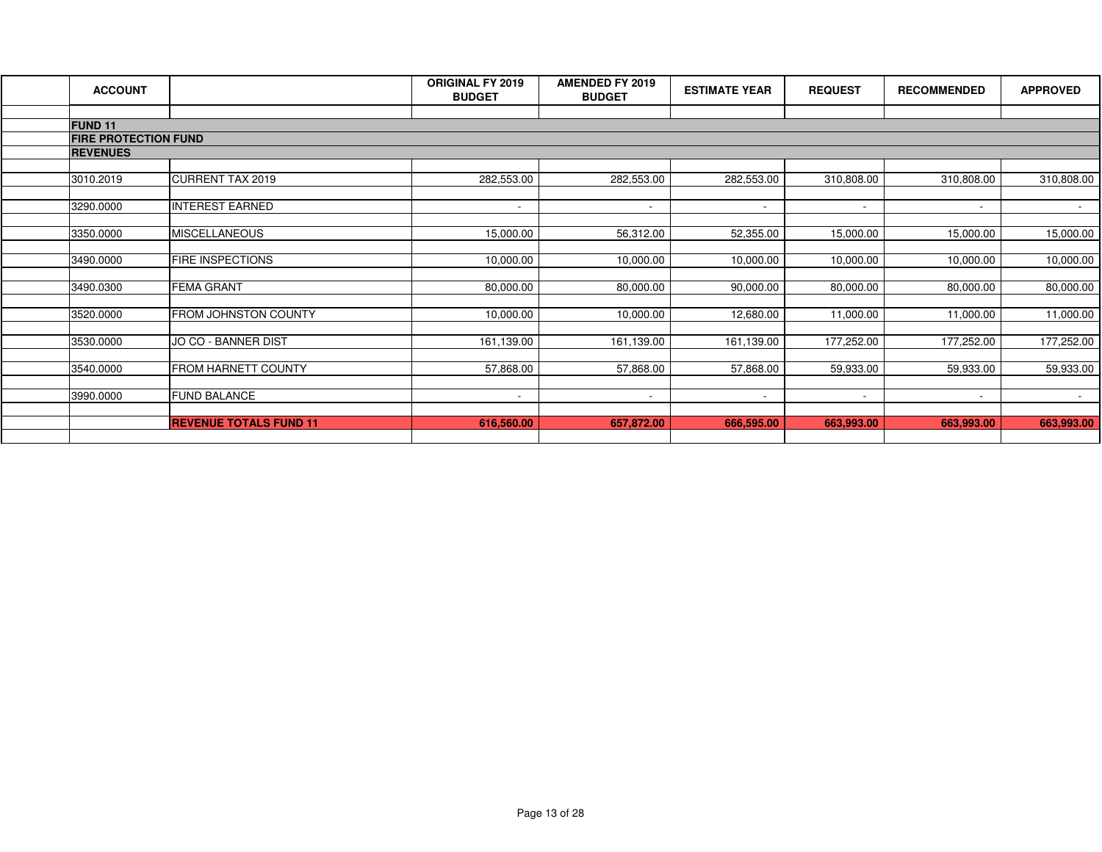| <b>ACCOUNT</b>                                |                               | <b>ORIGINAL FY 2019</b><br><b>BUDGET</b> | <b>AMENDED FY 2019</b><br><b>BUDGET</b> | <b>ESTIMATE YEAR</b>     | <b>REQUEST</b>           | <b>RECOMMENDED</b>       | <b>APPROVED</b> |
|-----------------------------------------------|-------------------------------|------------------------------------------|-----------------------------------------|--------------------------|--------------------------|--------------------------|-----------------|
|                                               |                               |                                          |                                         |                          |                          |                          |                 |
| <b>FUND 11</b><br><b>FIRE PROTECTION FUND</b> |                               |                                          |                                         |                          |                          |                          |                 |
| <b>REVENUES</b>                               |                               |                                          |                                         |                          |                          |                          |                 |
|                                               |                               |                                          |                                         |                          |                          |                          |                 |
| 3010.2019                                     | CURRENT TAX 2019              | 282,553.00                               | 282,553.00                              | 282,553.00               | 310,808.00               | 310,808.00               | 310,808.00      |
|                                               |                               |                                          |                                         |                          |                          |                          |                 |
| 3290.0000                                     | <b>INTEREST EARNED</b>        | $\sim$                                   | $\sim$                                  | $\sim$                   | $\sim$                   | $\sim$                   | $\sim$ 10 $\pm$ |
|                                               |                               |                                          |                                         |                          |                          |                          |                 |
| 3350.0000                                     | <b>MISCELLANEOUS</b>          | 15,000.00                                | 56,312.00                               | 52,355.00                | 15,000.00                | 15,000.00                | 15,000.00       |
|                                               |                               |                                          |                                         |                          |                          |                          |                 |
| 3490.0000                                     | <b>FIRE INSPECTIONS</b>       | 10,000.00                                | 10,000.00                               | 10,000.00                | 10,000.00                | 10,000.00                | 10,000.00       |
| 3490.0300                                     | <b>FEMA GRANT</b>             | 80,000.00                                | 80,000.00                               | 90,000.00                | 80,000.00                | 80,000.00                | 80,000.00       |
|                                               |                               |                                          |                                         |                          |                          |                          |                 |
| 3520.0000                                     | <b>FROM JOHNSTON COUNTY</b>   | 10,000.00                                | 10,000.00                               | 12,680.00                | 11,000.00                | 11,000.00                | 11,000.00       |
|                                               |                               |                                          |                                         |                          |                          |                          |                 |
| 3530.0000                                     | JO CO - BANNER DIST           | 161,139.00                               | 161,139.00                              | 161,139.00               | 177,252.00               | 177,252.00               | 177,252.00      |
|                                               |                               |                                          |                                         |                          |                          |                          |                 |
| 3540.0000                                     | <b>FROM HARNETT COUNTY</b>    | 57,868.00                                | 57,868.00                               | 57,868.00                | 59,933.00                | 59,933.00                | 59,933.00       |
|                                               |                               |                                          |                                         |                          |                          |                          |                 |
| 3990.0000                                     | <b>FUND BALANCE</b>           | $\overline{\phantom{a}}$                 | $\sim$                                  | $\overline{\phantom{a}}$ | $\overline{\phantom{a}}$ | $\overline{\phantom{0}}$ | $\sim$          |
|                                               | <b>REVENUE TOTALS FUND 11</b> | 616,560.00                               | 657,872.00                              | 666,595.00               | 663,993.00               | 663,993.00               | 663,993.00      |
|                                               |                               |                                          |                                         |                          |                          |                          |                 |
|                                               |                               |                                          |                                         |                          |                          |                          |                 |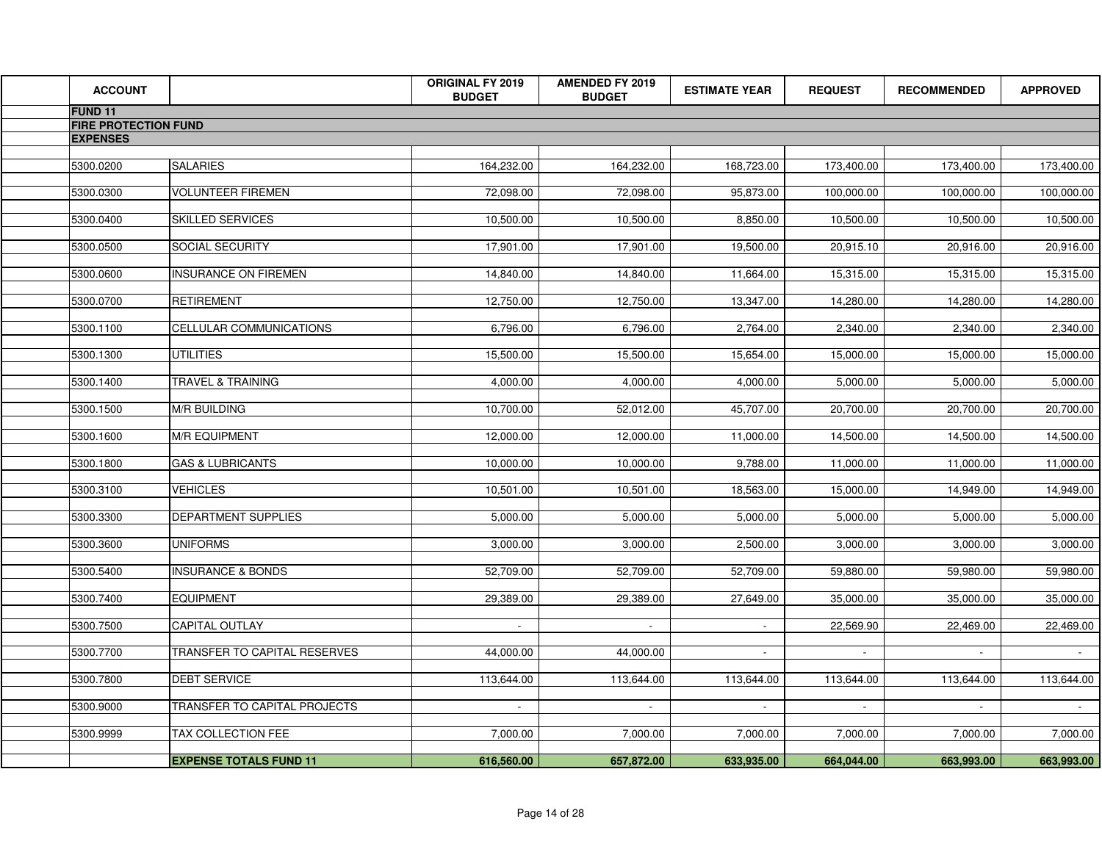| <b>ACCOUNT</b>              |                               | <b>ORIGINAL FY 2019</b><br><b>BUDGET</b> | <b>AMENDED FY 2019</b><br><b>BUDGET</b> | <b>ESTIMATE YEAR</b> | <b>REQUEST</b> | <b>RECOMMENDED</b> | <b>APPROVED</b> |
|-----------------------------|-------------------------------|------------------------------------------|-----------------------------------------|----------------------|----------------|--------------------|-----------------|
| <b>FUND 11</b>              |                               |                                          |                                         |                      |                |                    |                 |
| <b>FIRE PROTECTION FUND</b> |                               |                                          |                                         |                      |                |                    |                 |
| <b>EXPENSES</b>             |                               |                                          |                                         |                      |                |                    |                 |
| 5300.0200                   | <b>SALARIES</b>               | 164,232.00                               | 164,232.00                              | 168,723.00           | 173,400.00     | 173,400.00         | 173,400.00      |
| 5300.0300                   | <b>VOLUNTEER FIREMEN</b>      | 72,098.00                                | 72,098.00                               | 95,873.00            | 100,000.00     | 100,000.00         | 100,000.00      |
|                             |                               |                                          |                                         |                      |                |                    |                 |
| 5300.0400                   | <b>SKILLED SERVICES</b>       | 10,500.00                                | 10,500.00                               | 8,850.00             | 10,500.00      | 10,500.00          | 10,500.00       |
| 5300.0500                   | <b>SOCIAL SECURITY</b>        | 17,901.00                                | 17,901.00                               | 19,500.00            | 20,915.10      | 20,916.00          | 20,916.00       |
| 5300.0600                   | <b>INSURANCE ON FIREMEN</b>   | 14,840.00                                | 14,840.00                               | 11,664.00            | 15,315.00      | 15,315.00          | 15,315.00       |
|                             |                               |                                          |                                         |                      |                |                    |                 |
| 5300.0700                   | <b>RETIREMENT</b>             | 12,750.00                                | 12,750.00                               | 13,347.00            | 14,280.00      | 14,280.00          | 14,280.00       |
| 5300.1100                   | CELLULAR COMMUNICATIONS       | 6,796.00                                 | 6,796.00                                | 2,764.00             | 2,340.00       | 2,340.00           | 2,340.00        |
| 5300.1300                   | <b>UTILITIES</b>              | 15,500.00                                | 15,500.00                               | 15,654.00            | 15,000.00      | 15,000.00          | 15,000.00       |
|                             |                               |                                          |                                         |                      |                |                    |                 |
| 5300.1400                   | <b>TRAVEL &amp; TRAINING</b>  | 4,000.00                                 | 4,000.00                                | 4,000.00             | 5,000.00       | 5,000.00           | 5,000.00        |
| 5300.1500                   | <b>M/R BUILDING</b>           | 10,700.00                                | 52,012.00                               | 45,707.00            | 20,700.00      | 20,700.00          | 20,700.00       |
| 5300.1600                   | <b>M/R EQUIPMENT</b>          | 12,000.00                                | 12,000.00                               | 11,000.00            | 14,500.00      | 14,500.00          | 14,500.00       |
|                             |                               |                                          |                                         |                      |                |                    |                 |
| 5300.1800                   | <b>GAS &amp; LUBRICANTS</b>   | 10,000.00                                | 10,000.00                               | 9,788.00             | 11,000.00      | 11,000.00          | 11,000.00       |
| 5300.3100                   | <b>VEHICLES</b>               | 10,501.00                                | 10,501.00                               | 18,563.00            | 15,000.00      | 14,949.00          | 14,949.00       |
| 5300.3300                   | <b>DEPARTMENT SUPPLIES</b>    | 5,000.00                                 | 5,000.00                                | 5,000.00             | 5,000.00       | 5,000.00           | 5,000.00        |
|                             |                               |                                          |                                         |                      |                |                    |                 |
| 5300.3600                   | <b>UNIFORMS</b>               | 3,000.00                                 | 3,000.00                                | 2,500.00             | 3,000.00       | 3,000.00           | 3,000.00        |
| 5300.5400                   | <b>INSURANCE &amp; BONDS</b>  | 52,709.00                                | 52,709.00                               | 52,709.00            | 59,880.00      | 59,980.00          | 59,980.00       |
| 5300.7400                   | <b>EQUIPMENT</b>              | 29,389.00                                | 29,389.00                               | 27,649.00            | 35,000.00      | 35,000.00          | 35,000.00       |
|                             |                               |                                          |                                         |                      |                |                    |                 |
| 5300.7500                   | CAPITAL OUTLAY                | $\sim$                                   | $\sim$                                  |                      | 22,569.90      | 22,469.00          | 22,469.00       |
| 5300.7700                   | TRANSFER TO CAPITAL RESERVES  | 44,000.00                                | 44,000.00                               | $\sim$               | $\sim$         | $\sim$             | $\sim$          |
| 5300.7800                   | <b>DEBT SERVICE</b>           | 113,644.00                               | 113,644.00                              | 113,644.00           | 113,644.00     | 113,644.00         | 113,644.00      |
|                             |                               |                                          |                                         |                      |                |                    |                 |
| 5300.9000                   | TRANSFER TO CAPITAL PROJECTS  | $\sim$                                   | $\sim$                                  | $\sim$               | $\sim$         | $\sim$             | $\sim$          |
| 5300.9999                   | TAX COLLECTION FEE            | 7,000.00                                 | 7,000.00                                | 7,000.00             | 7,000.00       | 7,000.00           | 7,000.00        |
|                             |                               |                                          |                                         |                      |                |                    |                 |
|                             | <b>EXPENSE TOTALS FUND 11</b> | 616,560.00                               | 657,872.00                              | 633,935.00           | 664,044.00     | 663,993.00         | 663,993.00      |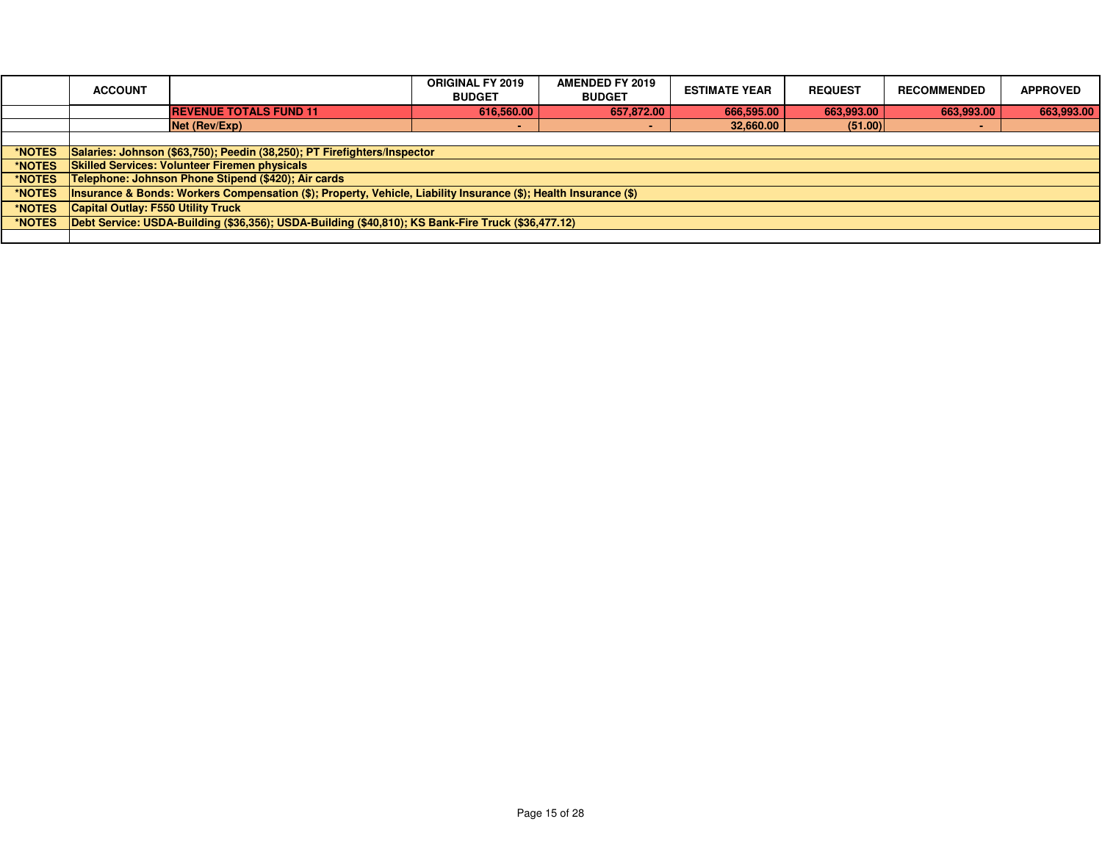|               | <b>ACCOUNT</b>                                                           |                                                                                                                   | <b>ORIGINAL FY 2019</b><br><b>BUDGET</b> | <b>AMENDED FY 2019</b><br><b>BUDGET</b> | <b>ESTIMATE YEAR</b> | <b>REQUEST</b> | <b>RECOMMENDED</b> | <b>APPROVED</b> |
|---------------|--------------------------------------------------------------------------|-------------------------------------------------------------------------------------------------------------------|------------------------------------------|-----------------------------------------|----------------------|----------------|--------------------|-----------------|
|               |                                                                          | <b>REVENUE TOTALS FUND 11</b>                                                                                     | 616,560.00                               | 657,872.00                              | 666,595.00           | 663,993.00     | 663,993.00         | 663,993.00      |
|               |                                                                          | Net (Rev/Exp)                                                                                                     |                                          |                                         | 32,660.00            | (51.00)        |                    |                 |
|               |                                                                          |                                                                                                                   |                                          |                                         |                      |                |                    |                 |
| *NOTES        | Salaries: Johnson (\$63,750); Peedin (38,250); PT Firefighters/Inspector |                                                                                                                   |                                          |                                         |                      |                |                    |                 |
| *NOTES        |                                                                          | <b>Skilled Services: Volunteer Firemen physicals</b>                                                              |                                          |                                         |                      |                |                    |                 |
| *NOTES        |                                                                          | Telephone: Johnson Phone Stipend (\$420); Air cards                                                               |                                          |                                         |                      |                |                    |                 |
| *NOTES        |                                                                          | (Insurance & Bonds: Workers Compensation (\$); Property, Vehicle, Liability Insurance (\$); Health Insurance (\$) |                                          |                                         |                      |                |                    |                 |
| *NOTES        | <b>Capital Outlay: F550 Utility Truck</b>                                |                                                                                                                   |                                          |                                         |                      |                |                    |                 |
| <b>*NOTES</b> |                                                                          | Debt Service: USDA-Building (\$36,356); USDA-Building (\$40,810); KS Bank-Fire Truck (\$36,477.12)                |                                          |                                         |                      |                |                    |                 |
|               |                                                                          |                                                                                                                   |                                          |                                         |                      |                |                    |                 |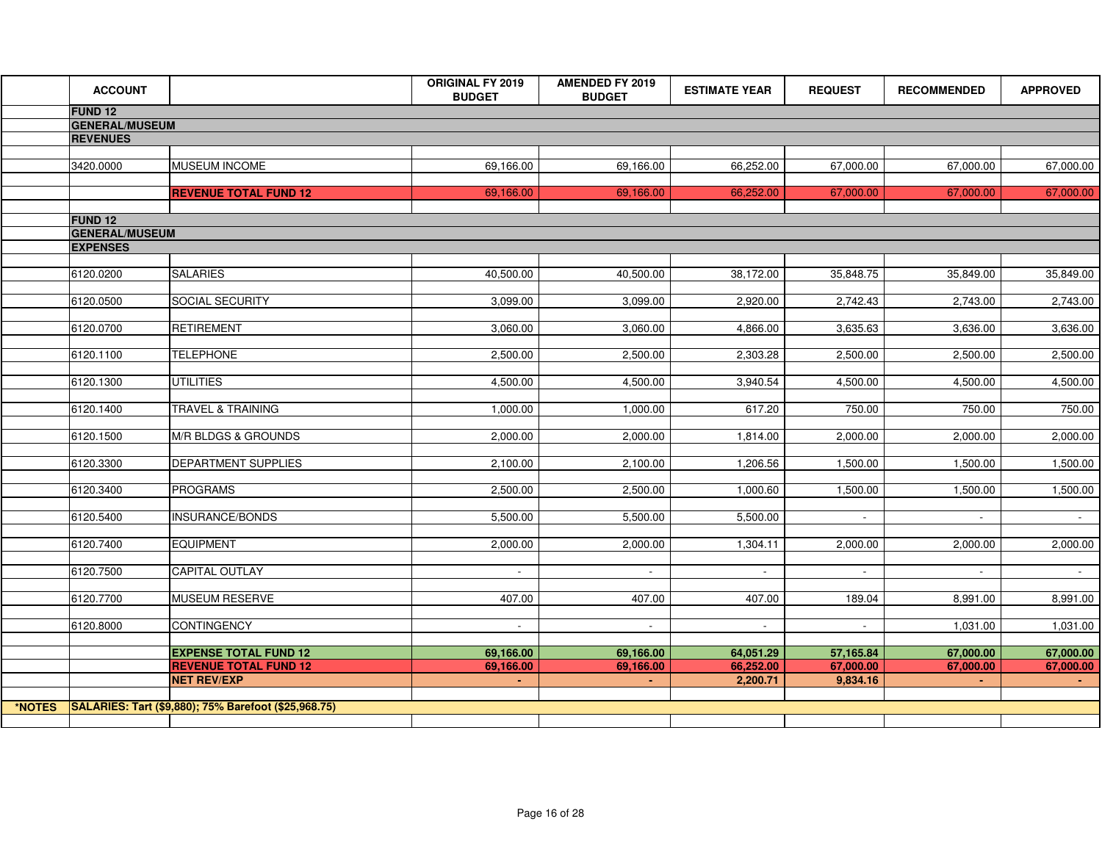|        | <b>ACCOUNT</b>        |                                                      | ORIGINAL FY 2019<br><b>BUDGET</b> | <b>AMENDED FY 2019</b><br><b>BUDGET</b> | <b>ESTIMATE YEAR</b> | <b>REQUEST</b> | <b>RECOMMENDED</b> | <b>APPROVED</b> |
|--------|-----------------------|------------------------------------------------------|-----------------------------------|-----------------------------------------|----------------------|----------------|--------------------|-----------------|
|        | <b>FUND 12</b>        |                                                      |                                   |                                         |                      |                |                    |                 |
|        | <b>GENERAL/MUSEUM</b> |                                                      |                                   |                                         |                      |                |                    |                 |
|        | <b>REVENUES</b>       |                                                      |                                   |                                         |                      |                |                    |                 |
|        | 3420.0000             | <b>MUSEUM INCOME</b>                                 | 69,166.00                         | 69,166.00                               | 66,252.00            | 67,000.00      | 67,000.00          | 67,000.00       |
|        |                       | <b>REVENUE TOTAL FUND 12</b>                         | 69,166.00                         | 69,166.00                               | 66,252.00            | 67,000.00      | 67,000.00          | 67,000.00       |
|        | <b>FUND 12</b>        |                                                      |                                   |                                         |                      |                |                    |                 |
|        | <b>GENERAL/MUSEUM</b> |                                                      |                                   |                                         |                      |                |                    |                 |
|        | <b>EXPENSES</b>       |                                                      |                                   |                                         |                      |                |                    |                 |
|        | 6120.0200             | <b>SALARIES</b>                                      | 40,500.00                         | 40,500.00                               | 38,172.00            | 35,848.75      | 35,849.00          | 35,849.00       |
|        | 6120.0500             | SOCIAL SECURITY                                      | 3,099.00                          | 3,099.00                                | 2,920.00             | 2,742.43       | 2,743.00           | 2,743.00        |
|        | 6120.0700             | <b>RETIREMENT</b>                                    | 3,060.00                          | 3,060.00                                | 4,866.00             | 3,635.63       | 3,636.00           | 3,636.00        |
|        | 6120.1100             | <b>TELEPHONE</b>                                     | 2,500.00                          | 2,500.00                                | 2,303.28             | 2,500.00       | 2,500.00           | 2,500.00        |
|        | 6120.1300             | <b>UTILITIES</b>                                     | 4,500.00                          | 4,500.00                                | 3,940.54             | 4,500.00       | 4,500.00           | 4,500.00        |
|        | 6120.1400             | <b>TRAVEL &amp; TRAINING</b>                         | 1,000.00                          | 1,000.00                                | 617.20               | 750.00         | 750.00             | 750.00          |
|        | 6120.1500             | M/R BLDGS & GROUNDS                                  | 2,000.00                          | 2,000.00                                | 1,814.00             | 2,000.00       | 2,000.00           | 2,000.00        |
|        | 6120.3300             | <b>DEPARTMENT SUPPLIES</b>                           | 2,100.00                          | 2,100.00                                | 1,206.56             | 1,500.00       | 1,500.00           | 1,500.00        |
|        | 6120.3400             | PROGRAMS                                             | 2,500.00                          | 2,500.00                                | 1,000.60             | 1,500.00       | 1,500.00           | 1,500.00        |
|        | 6120.5400             | INSURANCE/BONDS                                      | 5,500.00                          | 5,500.00                                | 5,500.00             |                |                    |                 |
|        | 6120.7400             | <b>EQUIPMENT</b>                                     | 2,000.00                          | 2,000.00                                | 1,304.11             | 2,000.00       | 2,000.00           | 2,000.00        |
|        | 6120.7500             | <b>CAPITAL OUTLAY</b>                                | $\sim$                            | $\blacksquare$                          | $\sim$               | $\blacksquare$ | $\sim$             | $\sim 100$      |
|        | 6120.7700             | MUSEUM RESERVE                                       | 407.00                            | 407.00                                  | 407.00               | 189.04         | 8,991.00           | 8,991.00        |
|        | 6120.8000             | <b>CONTINGENCY</b>                                   | $\sim$                            | $\sim$                                  | $\sim$               | $\mathbf{r}$   | 1,031.00           | 1,031.00        |
|        |                       | <b>EXPENSE TOTAL FUND 12</b>                         | 69,166.00                         | 69,166.00                               | 64,051.29            | 57,165.84      | 67,000.00          | 67,000.00       |
|        |                       | <b>REVENUE TOTAL FUND 12</b>                         | 69,166.00                         | 69,166.00                               | 66,252.00            | 67,000.00      | 67,000.00          | 67,000.00       |
|        |                       | <b>NET REV/EXP</b>                                   | $\sim$                            | $\sim 10$                               | 2,200.71             | 9,834.16       | $\sim$             | $\sim 10$       |
| *NOTES |                       | SALARIES: Tart (\$9,880); 75% Barefoot (\$25,968.75) |                                   |                                         |                      |                |                    |                 |
|        |                       |                                                      |                                   |                                         |                      |                |                    |                 |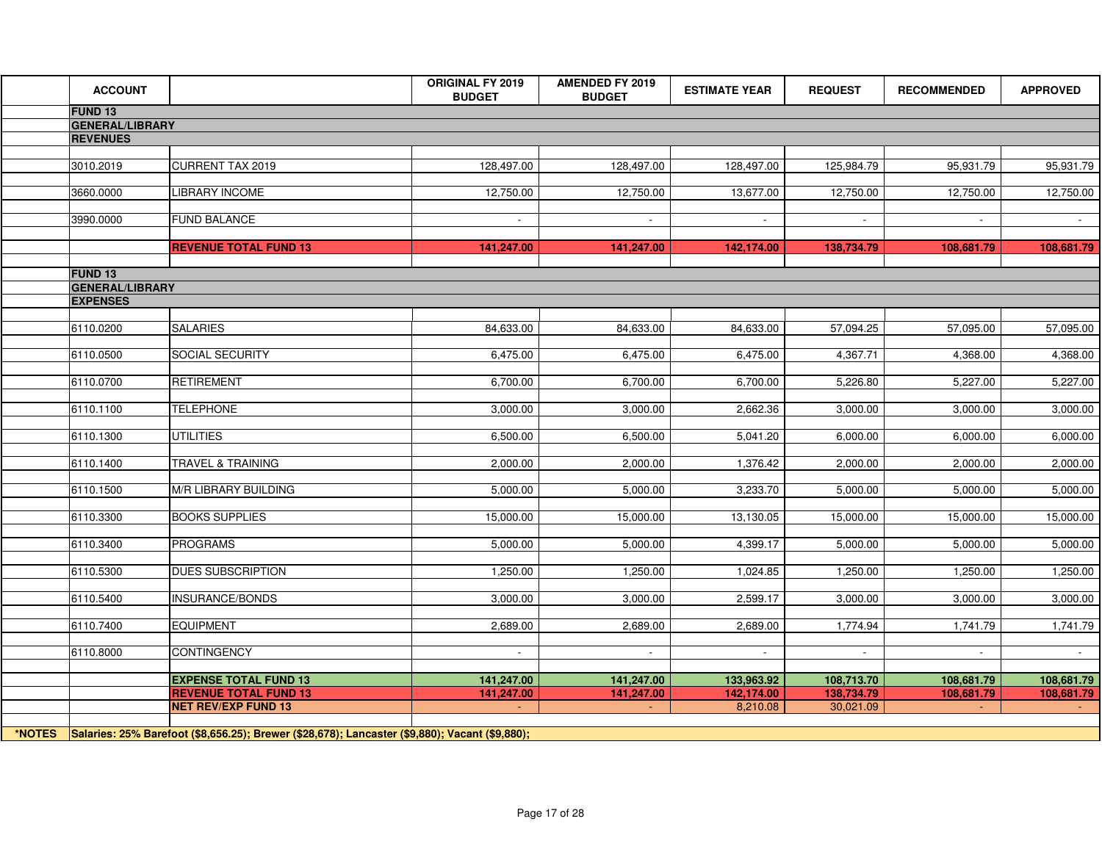| <b>ACCOUNT</b>         |                                                                                                       | ORIGINAL FY 2019<br><b>BUDGET</b> | <b>AMENDED FY 2019</b><br><b>BUDGET</b> | <b>ESTIMATE YEAR</b> | <b>REQUEST</b> | <b>RECOMMENDED</b> | <b>APPROVED</b> |
|------------------------|-------------------------------------------------------------------------------------------------------|-----------------------------------|-----------------------------------------|----------------------|----------------|--------------------|-----------------|
| FUND <sub>13</sub>     |                                                                                                       |                                   |                                         |                      |                |                    |                 |
| <b>GENERAL/LIBRARY</b> |                                                                                                       |                                   |                                         |                      |                |                    |                 |
| <b>REVENUES</b>        |                                                                                                       |                                   |                                         |                      |                |                    |                 |
| 3010.2019              | <b>CURRENT TAX 2019</b>                                                                               | 128,497.00                        | 128,497.00                              | 128,497.00           | 125,984.79     | 95,931.79          | 95,931.79       |
|                        |                                                                                                       |                                   |                                         |                      |                |                    |                 |
| 3660.0000              | <b>LIBRARY INCOME</b>                                                                                 | 12,750.00                         | 12,750.00                               | 13,677.00            | 12,750.00      | 12,750.00          | 12,750.00       |
|                        |                                                                                                       |                                   |                                         |                      |                |                    |                 |
| 3990.0000              | <b>FUND BALANCE</b>                                                                                   | $\blacksquare$                    | $\sim$                                  | $\sim$               | $\sim$         | $\sim$             | $\sim$ $-$      |
|                        | <b>REVENUE TOTAL FUND 13</b>                                                                          | 141,247.00                        | 141,247.00                              | 142,174.00           | 138,734.79     | 108,681.79         | 108,681.79      |
|                        |                                                                                                       |                                   |                                         |                      |                |                    |                 |
| <b>FUND 13</b>         |                                                                                                       |                                   |                                         |                      |                |                    |                 |
| <b>GENERAL/LIBRARY</b> |                                                                                                       |                                   |                                         |                      |                |                    |                 |
| <b>EXPENSES</b>        |                                                                                                       |                                   |                                         |                      |                |                    |                 |
| 6110.0200              | <b>SALARIES</b>                                                                                       | 84,633.00                         | 84,633.00                               | 84,633.00            | 57,094.25      | 57,095.00          | 57,095.00       |
|                        |                                                                                                       |                                   |                                         |                      |                |                    |                 |
| 6110.0500              | SOCIAL SECURITY                                                                                       | 6,475.00                          | 6,475.00                                | 6,475.00             | 4,367.71       | 4,368.00           | 4,368.00        |
| 6110.0700              | <b>RETIREMENT</b>                                                                                     | 6,700.00                          | 6,700.00                                | 6,700.00             | 5,226.80       | 5,227.00           | 5,227.00        |
|                        |                                                                                                       |                                   |                                         |                      |                |                    |                 |
| 6110.1100              | <b>TELEPHONE</b>                                                                                      | 3,000.00                          | 3,000.00                                | 2,662.36             | 3,000.00       | 3,000.00           | 3,000.00        |
|                        |                                                                                                       |                                   |                                         |                      |                |                    |                 |
| 6110.1300              | <b>UTILITIES</b>                                                                                      | 6,500.00                          | 6,500.00                                | 5,041.20             | 6,000.00       | 6,000.00           | 6,000.00        |
| 6110.1400              | TRAVEL & TRAINING                                                                                     | 2,000.00                          | 2,000.00                                | 1,376.42             | 2,000.00       | 2,000.00           | 2,000.00        |
|                        |                                                                                                       |                                   |                                         |                      |                |                    |                 |
| 6110.1500              | M/R LIBRARY BUILDING                                                                                  | 5,000.00                          | 5,000.00                                | 3,233.70             | 5,000.00       | 5,000.00           | 5,000.00        |
|                        |                                                                                                       |                                   |                                         |                      |                |                    |                 |
| 6110.3300              | <b>BOOKS SUPPLIES</b>                                                                                 | 15,000.00                         | 15,000.00                               | 13,130.05            | 15,000.00      | 15,000.00          | 15,000.00       |
| 6110.3400              | <b>PROGRAMS</b>                                                                                       | 5,000.00                          | 5,000.00                                | 4,399.17             | 5,000.00       | 5,000.00           | 5,000.00        |
|                        |                                                                                                       |                                   |                                         |                      |                |                    |                 |
| 6110.5300              | <b>DUES SUBSCRIPTION</b>                                                                              | 1,250.00                          | 1,250.00                                | 1,024.85             | 1,250.00       | 1,250.00           | 1,250.00        |
| 6110.5400              | INSURANCE/BONDS                                                                                       | 3,000.00                          | 3,000.00                                | 2,599.17             | 3,000.00       | 3,000.00           | 3,000.00        |
|                        |                                                                                                       |                                   |                                         |                      |                |                    |                 |
| 6110.7400              | <b>EQUIPMENT</b>                                                                                      | 2,689.00                          | 2,689.00                                | 2,689.00             | 1,774.94       | 1,741.79           | 1,741.79        |
|                        |                                                                                                       |                                   |                                         |                      |                |                    |                 |
| 6110.8000              | <b>CONTINGENCY</b>                                                                                    | $\sim$                            | $\sim$                                  | $\sim$               | $\sim$         | $\sim$             | $\sim 10^{-11}$ |
|                        | <b>EXPENSE TOTAL FUND 13</b>                                                                          | 141,247.00                        | 141,247.00                              | 133,963.92           | 108,713.70     | 108,681.79         | 108,681.79      |
|                        | <b>REVENUE TOTAL FUND 13</b>                                                                          | 141,247.00                        | 141,247.00                              | 142,174.00           | 138,734.79     | 108,681.79         | 108,681.79      |
|                        | <b>NET REV/EXP FUND 13</b>                                                                            |                                   | $\sim$                                  | 8,210.08             | 30,021.09      |                    |                 |
|                        |                                                                                                       |                                   |                                         |                      |                |                    |                 |
|                        | *NOTES Salaries: 25% Barefoot (\$8,656.25); Brewer (\$28,678); Lancaster (\$9,880); Vacant (\$9,880); |                                   |                                         |                      |                |                    |                 |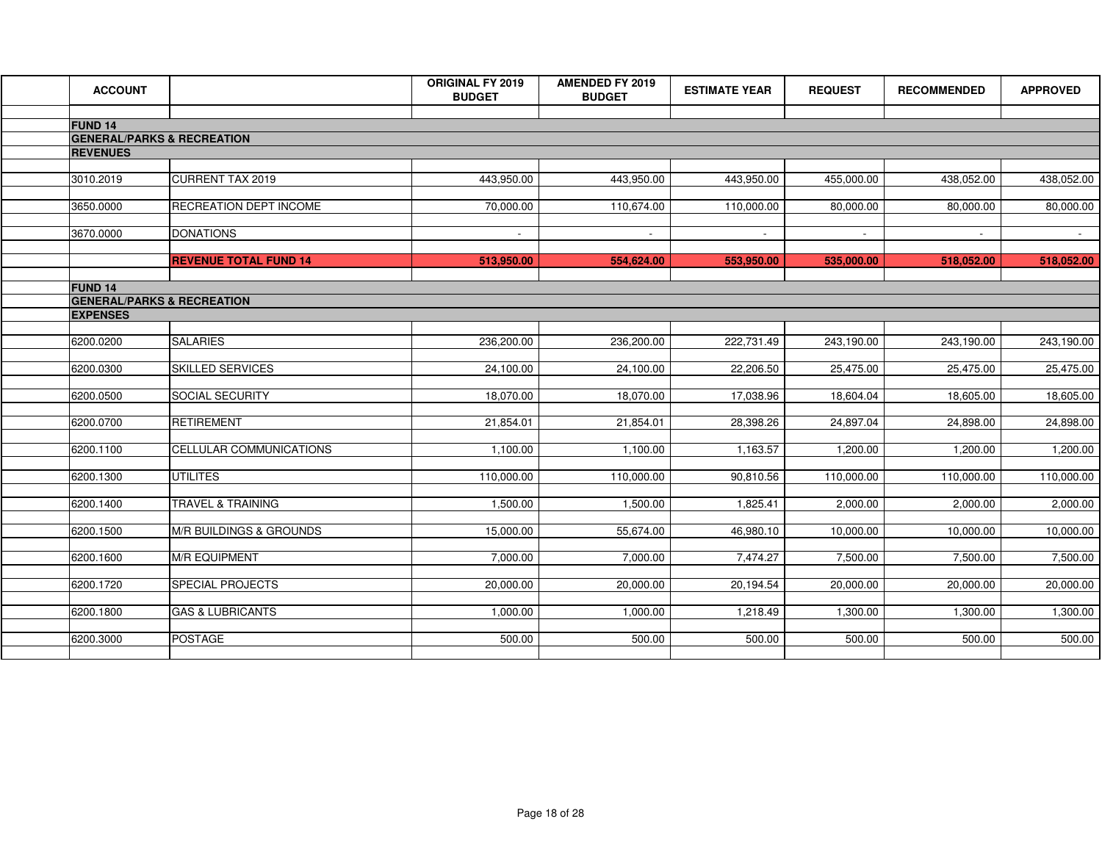| <b>ACCOUNT</b>                                              |                              | <b>ORIGINAL FY 2019</b><br><b>BUDGET</b> | <b>AMENDED FY 2019</b><br><b>BUDGET</b> | <b>ESTIMATE YEAR</b> | <b>REQUEST</b> | <b>RECOMMENDED</b> | <b>APPROVED</b> |
|-------------------------------------------------------------|------------------------------|------------------------------------------|-----------------------------------------|----------------------|----------------|--------------------|-----------------|
|                                                             |                              |                                          |                                         |                      |                |                    |                 |
| FUND <sub>14</sub><br><b>GENERAL/PARKS &amp; RECREATION</b> |                              |                                          |                                         |                      |                |                    |                 |
| <b>REVENUES</b>                                             |                              |                                          |                                         |                      |                |                    |                 |
|                                                             |                              |                                          |                                         |                      |                |                    |                 |
| 3010.2019                                                   | <b>CURRENT TAX 2019</b>      | 443,950.00                               | 443,950.00                              | 443,950.00           | 455,000.00     | 438,052.00         | 438,052.00      |
| 3650.0000                                                   | RECREATION DEPT INCOME       | 70,000.00                                | 110,674.00                              | 110,000.00           | 80,000.00      | 80,000.00          | 80,000.00       |
|                                                             |                              |                                          |                                         |                      |                |                    |                 |
| 3670.0000                                                   | <b>DONATIONS</b>             | $\sim$                                   | $\mathbf{r}$                            | $\sim$               | $\blacksquare$ |                    |                 |
|                                                             |                              |                                          |                                         |                      |                |                    |                 |
|                                                             | <b>REVENUE TOTAL FUND 14</b> | 513,950.00                               | 554,624.00                              | 553,950.00           | 535,000.00     | 518,052.00         | 518,052.00      |
| <b>FUND 14</b>                                              |                              |                                          |                                         |                      |                |                    |                 |
| <b>GENERAL/PARKS &amp; RECREATION</b>                       |                              |                                          |                                         |                      |                |                    |                 |
| <b>EXPENSES</b>                                             |                              |                                          |                                         |                      |                |                    |                 |
| 6200.0200                                                   | <b>SALARIES</b>              | 236,200.00                               | 236,200.00                              | 222,731.49           | 243,190.00     | 243,190.00         | 243,190.00      |
|                                                             |                              |                                          |                                         |                      |                |                    |                 |
| 6200.0300                                                   | <b>SKILLED SERVICES</b>      | 24,100.00                                | 24,100.00                               | 22,206.50            | 25,475.00      | 25,475.00          | 25,475.00       |
|                                                             |                              |                                          |                                         |                      |                |                    |                 |
| 6200.0500                                                   | SOCIAL SECURITY              | 18,070.00                                | 18,070.00                               | 17,038.96            | 18,604.04      | 18,605.00          | 18,605.00       |
| 6200.0700                                                   | <b>RETIREMENT</b>            | 21,854.01                                | 21,854.01                               | 28,398.26            | 24,897.04      | 24,898.00          | 24,898.00       |
|                                                             |                              |                                          |                                         |                      |                |                    |                 |
| 6200.1100                                                   | CELLULAR COMMUNICATIONS      | 1,100.00                                 | 1,100.00                                | 1,163.57             | 1,200.00       | 1,200.00           | 1,200.00        |
| 6200.1300                                                   | <b>UTILITES</b>              | 110,000.00                               | 110,000.00                              |                      |                |                    |                 |
|                                                             |                              |                                          |                                         | 90,810.56            | 110,000.00     | 110,000.00         | 110,000.00      |
| 6200.1400                                                   | <b>TRAVEL &amp; TRAINING</b> | 1,500.00                                 | 1,500.00                                | 1,825.41             | 2,000.00       | 2,000.00           | 2,000.00        |
|                                                             |                              |                                          |                                         |                      |                |                    |                 |
| 6200.1500                                                   | M/R BUILDINGS & GROUNDS      | 15,000.00                                | 55,674.00                               | 46,980.10            | 10,000.00      | 10,000.00          | 10,000.00       |
| 6200.1600                                                   | <b>M/R EQUIPMENT</b>         | 7,000.00                                 | 7,000.00                                | 7,474.27             | 7,500.00       | 7,500.00           | 7,500.00        |
|                                                             |                              |                                          |                                         |                      |                |                    |                 |
| 6200.1720                                                   | <b>SPECIAL PROJECTS</b>      | 20,000.00                                | 20,000.00                               | 20,194.54            | 20,000.00      | 20,000.00          | 20,000.00       |
|                                                             |                              |                                          |                                         |                      |                |                    |                 |
| 6200.1800                                                   | <b>GAS &amp; LUBRICANTS</b>  | 1,000.00                                 | 1,000.00                                | 1,218.49             | 1,300.00       | 1,300.00           | 1,300.00        |
| 6200.3000                                                   | <b>POSTAGE</b>               | 500.00                                   | 500.00                                  | 500.00               | 500.00         | 500.00             | 500.00          |
|                                                             |                              |                                          |                                         |                      |                |                    |                 |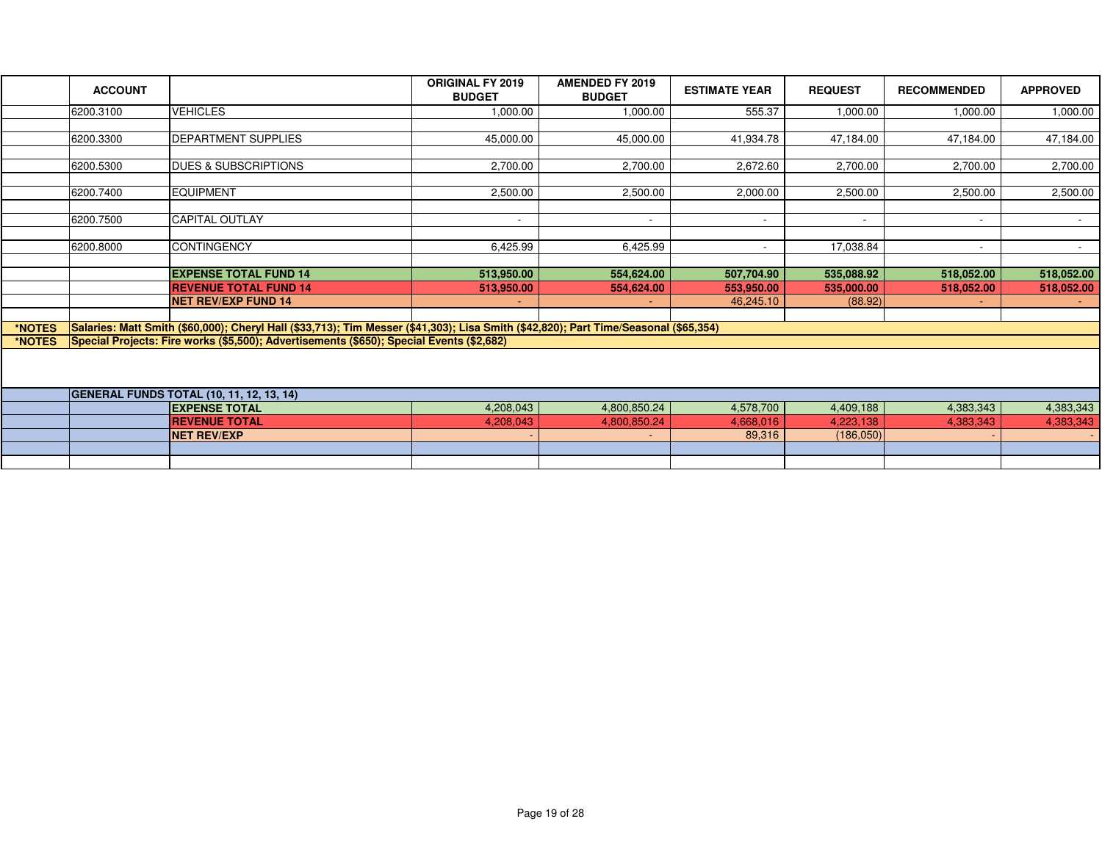|        | <b>ACCOUNT</b> |                                                                                                                                      | <b>ORIGINAL FY 2019</b><br><b>BUDGET</b> | <b>AMENDED FY 2019</b><br><b>BUDGET</b> | <b>ESTIMATE YEAR</b> | <b>REQUEST</b>           | <b>RECOMMENDED</b>       | <b>APPROVED</b> |
|--------|----------------|--------------------------------------------------------------------------------------------------------------------------------------|------------------------------------------|-----------------------------------------|----------------------|--------------------------|--------------------------|-----------------|
|        | 6200.3100      | <b>VEHICLES</b>                                                                                                                      | 1,000.00                                 | 1,000.00                                | 555.37               | 1,000.00                 | 1,000.00                 | 1,000.00        |
|        |                |                                                                                                                                      |                                          |                                         |                      |                          |                          |                 |
|        | 6200.3300      | <b>DEPARTMENT SUPPLIES</b>                                                                                                           | 45,000.00                                | 45,000.00                               | 41,934.78            | 47,184.00                | 47,184.00                | 47,184.00       |
|        | 6200.5300      | <b>DUES &amp; SUBSCRIPTIONS</b>                                                                                                      | 2,700.00                                 | 2,700.00                                | 2,672.60             | 2,700.00                 | 2,700.00                 | 2,700.00        |
|        |                |                                                                                                                                      |                                          |                                         |                      |                          |                          |                 |
|        | 6200.7400      | <b>EQUIPMENT</b>                                                                                                                     | 2,500.00                                 | 2.500.00                                | 2,000.00             | 2,500.00                 | 2.500.00                 | 2,500.00        |
|        |                |                                                                                                                                      |                                          |                                         |                      |                          |                          |                 |
|        | 6200.7500      | <b>CAPITAL OUTLAY</b>                                                                                                                | $\sim$                                   | $\sim$                                  | $\sim$               | $\overline{\phantom{a}}$ | $\overline{\phantom{a}}$ | $\sim$          |
|        |                |                                                                                                                                      |                                          |                                         |                      |                          |                          |                 |
|        | 6200.8000      | <b>CONTINGENCY</b>                                                                                                                   | 6,425.99                                 | 6,425.99                                | $\sim$               | 17,038.84                | $\overline{\phantom{a}}$ | $\sim$          |
|        |                | <b>EXPENSE TOTAL FUND 14</b>                                                                                                         | 513,950.00                               | 554,624.00                              | 507,704.90           | 535,088.92               | 518,052.00               | 518,052.00      |
|        |                | <b>REVENUE TOTAL FUND 14</b>                                                                                                         | 513,950.00                               | 554,624.00                              | 553,950.00           | 535,000.00               | 518,052.00               | 518,052.00      |
|        |                | <b>NET REV/EXP FUND 14</b>                                                                                                           | ٠                                        | ÷.                                      | 46,245.10            | (88.92)                  |                          |                 |
|        |                |                                                                                                                                      |                                          |                                         |                      |                          |                          |                 |
| *NOTES |                | Salaries: Matt Smith (\$60,000); Cheryl Hall (\$33,713); Tim Messer (\$41,303); Lisa Smith (\$42,820); Part Time/Seasonal (\$65,354) |                                          |                                         |                      |                          |                          |                 |
| *NOTES |                | Special Projects: Fire works (\$5,500); Advertisements (\$650); Special Events (\$2,682)                                             |                                          |                                         |                      |                          |                          |                 |
|        |                |                                                                                                                                      |                                          |                                         |                      |                          |                          |                 |
|        |                | <b>GENERAL FUNDS TOTAL (10, 11, 12, 13, 14)</b>                                                                                      |                                          |                                         |                      |                          |                          |                 |
|        |                | <b>EXPENSE TOTAL</b>                                                                                                                 | 4,208,043                                | 4,800,850.24                            | 4,578,700            | 4,409,188                | 4,383,343                | 4,383,343       |
|        |                | <b>REVENUE TOTAL</b>                                                                                                                 | 4.208.043                                | 4,800,850.24                            | 4,668,016            | 4.223.138                | 4,383,343                | 4,383,343       |
|        |                | <b>NET REV/EXP</b>                                                                                                                   |                                          | $\sim$                                  | 89,316               | (186, 050)               |                          |                 |
|        |                |                                                                                                                                      |                                          |                                         |                      |                          |                          |                 |
|        |                |                                                                                                                                      |                                          |                                         |                      |                          |                          |                 |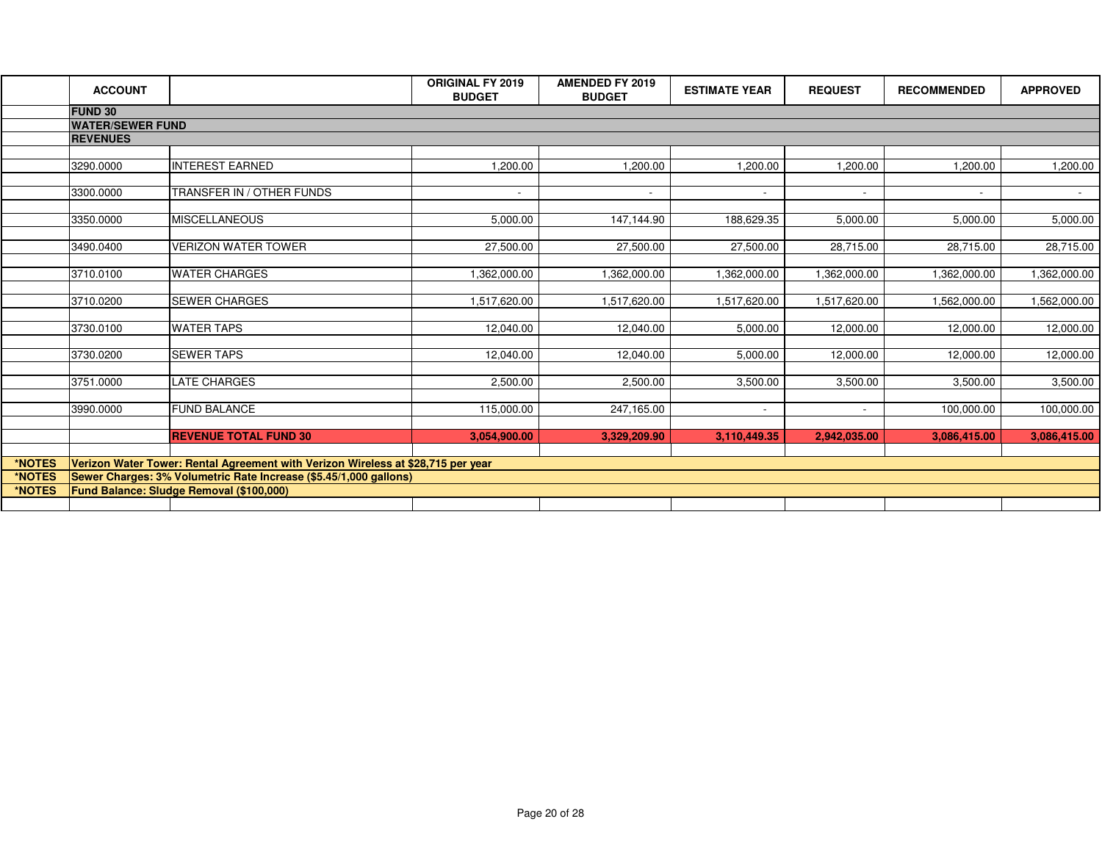|        | <b>ACCOUNT</b>                                                                   |                                                 | <b>ORIGINAL FY 2019</b><br><b>BUDGET</b> | <b>AMENDED FY 2019</b><br><b>BUDGET</b> | <b>ESTIMATE YEAR</b> | <b>REQUEST</b> | <b>RECOMMENDED</b> | <b>APPROVED</b> |
|--------|----------------------------------------------------------------------------------|-------------------------------------------------|------------------------------------------|-----------------------------------------|----------------------|----------------|--------------------|-----------------|
|        | <b>FUND 30</b>                                                                   |                                                 |                                          |                                         |                      |                |                    |                 |
|        | <b>WATER/SEWER FUND</b>                                                          |                                                 |                                          |                                         |                      |                |                    |                 |
|        | <b>REVENUES</b>                                                                  |                                                 |                                          |                                         |                      |                |                    |                 |
|        |                                                                                  |                                                 |                                          |                                         |                      |                |                    |                 |
|        | 3290.0000                                                                        | <b>INTEREST EARNED</b>                          | 1,200.00                                 | 1,200.00                                | 1,200.00             | 1,200.00       | 1,200.00           | 1,200.00        |
|        |                                                                                  |                                                 |                                          |                                         |                      |                |                    |                 |
|        | 3300.0000                                                                        | TRANSFER IN / OTHER FUNDS                       | $\sim$                                   | $\overline{\phantom{a}}$                | $\sim$               | $\sim$         | $\overline{a}$     | $\sim$ $-$      |
|        |                                                                                  |                                                 |                                          |                                         |                      |                |                    |                 |
|        | 3350.0000                                                                        | <b>MISCELLANEOUS</b>                            | 5,000.00                                 | 147,144.90                              | 188,629.35           | 5,000.00       | 5,000.00           | 5,000.00        |
|        |                                                                                  |                                                 |                                          |                                         |                      |                |                    |                 |
|        | 3490.0400                                                                        | <b>VERIZON WATER TOWER</b>                      | 27,500.00                                | 27,500.00                               | 27,500.00            | 28,715.00      | 28,715.00          | 28,715.00       |
|        |                                                                                  |                                                 |                                          |                                         |                      |                |                    |                 |
|        | 3710.0100                                                                        | <b>WATER CHARGES</b>                            | 1,362,000.00                             | 1,362,000.00                            | 00.000,005,1         | 1,362,000.00   | 1,362,000.00       | 1,362,000.00    |
|        |                                                                                  |                                                 |                                          |                                         |                      |                |                    |                 |
|        | 3710.0200                                                                        | <b>SEWER CHARGES</b>                            | 1,517,620.00                             | 1,517,620.00                            | 1,517,620.00         | 1,517,620.00   | 1,562,000.00       | 1,562,000.00    |
|        |                                                                                  |                                                 |                                          |                                         |                      |                |                    |                 |
|        | 3730.0100                                                                        | <b>WATER TAPS</b>                               | 12,040.00                                | 12,040.00                               | 5,000.00             | 12,000.00      | 12,000.00          | 12,000.00       |
|        |                                                                                  |                                                 |                                          |                                         |                      |                |                    |                 |
|        | 3730.0200                                                                        | <b>SEWER TAPS</b>                               | 12,040.00                                | 12.040.00                               | 5,000.00             | 12,000.00      | 12,000.00          | 12,000.00       |
|        |                                                                                  | <b>LATE CHARGES</b>                             | 2,500.00                                 | 2,500.00                                | 3,500.00             | 3,500.00       | 3,500.00           |                 |
|        | 3751.0000                                                                        |                                                 |                                          |                                         |                      |                |                    | 3,500.00        |
|        | 3990.0000                                                                        | <b>FUND BALANCE</b>                             | 115,000.00                               | 247,165.00                              | $\sim$               | $\sim$         | 100,000.00         | 100,000.00      |
|        |                                                                                  |                                                 |                                          |                                         |                      |                |                    |                 |
|        |                                                                                  | <b>REVENUE TOTAL FUND 30</b>                    | 3,054,900.00                             | 3,329,209.90                            | 3,110,449.35         | 2,942,035.00   | 3,086,415.00       | 3,086,415.00    |
|        |                                                                                  |                                                 |                                          |                                         |                      |                |                    |                 |
| *NOTES | Verizon Water Tower: Rental Agreement with Verizon Wireless at \$28,715 per year |                                                 |                                          |                                         |                      |                |                    |                 |
| *NOTES | Sewer Charges: 3% Volumetric Rate Increase (\$5.45/1,000 gallons)                |                                                 |                                          |                                         |                      |                |                    |                 |
| *NOTES |                                                                                  | <b>Fund Balance: Sludge Removal (\$100,000)</b> |                                          |                                         |                      |                |                    |                 |
|        |                                                                                  |                                                 |                                          |                                         |                      |                |                    |                 |
|        |                                                                                  |                                                 |                                          |                                         |                      |                |                    |                 |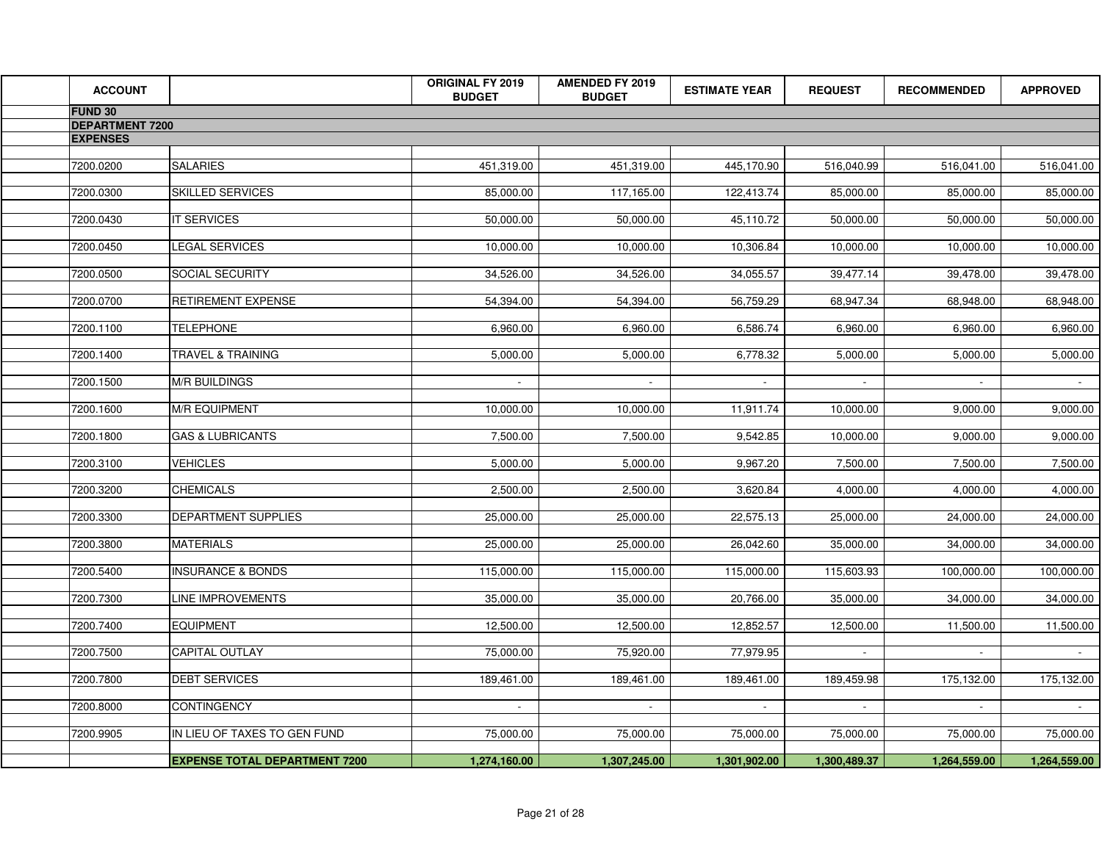| <b>ACCOUNT</b>         |                                               | <b>ORIGINAL FY 2019</b><br><b>BUDGET</b> | <b>AMENDED FY 2019</b><br><b>BUDGET</b> | <b>ESTIMATE YEAR</b>   | <b>REQUEST</b>         | <b>RECOMMENDED</b>     | <b>APPROVED</b>        |
|------------------------|-----------------------------------------------|------------------------------------------|-----------------------------------------|------------------------|------------------------|------------------------|------------------------|
| FUND 30                |                                               |                                          |                                         |                        |                        |                        |                        |
| <b>DEPARTMENT 7200</b> |                                               |                                          |                                         |                        |                        |                        |                        |
| <b>EXPENSES</b>        |                                               |                                          |                                         |                        |                        |                        |                        |
| 7200.0200              | <b>SALARIES</b>                               | 451,319.00                               | 451,319.00                              | 445,170.90             | 516,040.99             | 516,041.00             | 516,041.00             |
| 7200.0300              | <b>SKILLED SERVICES</b>                       | 85,000.00                                | 117,165.00                              | 122,413.74             | 85,000.00              | 85,000.00              | 85,000.00              |
| 7200.0430              | <b>IT SERVICES</b>                            | 50,000.00                                | 50,000.00                               | 45,110.72              | 50,000.00              | 50,000.00              | 50,000.00              |
| 7200.0450              | <b>LEGAL SERVICES</b>                         | 10,000.00                                | 10,000.00                               | 10,306.84              | 10,000.00              | 10,000.00              | 10,000.00              |
| 7200.0500              | <b>SOCIAL SECURITY</b>                        | 34,526.00                                | 34,526.00                               | 34,055.57              | 39,477.14              | 39,478.00              | 39,478.00              |
| 7200.0700<br>7200.1100 | <b>RETIREMENT EXPENSE</b><br><b>TELEPHONE</b> | 54,394.00<br>6,960.00                    | 54,394.00<br>6,960.00                   | 56,759.29<br>6,586.74  | 68,947.34<br>6,960.00  | 68,948.00<br>6,960.00  | 68,948.00<br>6,960.00  |
| 7200.1400              | TRAVEL & TRAINING                             | 5,000.00                                 | 5,000.00                                | 6,778.32               | 5,000.00               | 5,000.00               | 5,000.00               |
|                        |                                               |                                          |                                         |                        |                        |                        |                        |
| 7200.1500              | <b>M/R BUILDINGS</b>                          | $\sim$                                   | $\sim$                                  | $\sim$                 |                        |                        | $\sim$                 |
| 7200.1600              | <b>M/R EQUIPMENT</b>                          | 10,000.00                                | 10,000.00                               | 11,911.74              | 10,000.00              | 9,000.00               | 9,000.00               |
| 7200.1800              | <b>GAS &amp; LUBRICANTS</b>                   | 7,500.00                                 | 7,500.00                                | 9,542.85               | 10,000.00              | 9,000.00               | 9,000.00               |
| 7200.3100<br>7200.3200 | <b>VEHICLES</b><br><b>CHEMICALS</b>           | 5,000.00<br>2,500.00                     | 5,000.00<br>2,500.00                    | 9,967.20<br>3,620.84   | 7,500.00<br>4,000.00   | 7,500.00<br>4,000.00   | 7,500.00<br>4,000.00   |
|                        |                                               |                                          |                                         |                        |                        |                        |                        |
| 7200.3300              | DEPARTMENT SUPPLIES                           | 25,000.00                                | 25,000.00                               | 22,575.13              | 25,000.00              | 24,000.00              | 24,000.00              |
| 7200.3800              | <b>MATERIALS</b>                              | 25,000.00                                | 25,000.00                               | 26,042.60              | 35,000.00              | 34,000.00              | 34,000.00              |
| 7200.5400              | <b>INSURANCE &amp; BONDS</b>                  | 115,000.00                               | 115,000.00                              | 115,000.00             | 115,603.93             | 100,000.00             | 100,000.00             |
| 7200.7300<br>7200.7400 | LINE IMPROVEMENTS<br><b>EQUIPMENT</b>         | 35,000.00<br>12,500.00                   | 35,000.00<br>12,500.00                  | 20,766.00<br>12,852.57 | 35,000.00<br>12,500.00 | 34,000.00<br>11,500.00 | 34,000.00<br>11,500.00 |
| 7200.7500              | <b>CAPITAL OUTLAY</b>                         | 75,000.00                                | 75,920.00                               | 77,979.95              | $\sim$                 |                        | $\sim$ $-$             |
| 7200.7800              | <b>DEBT SERVICES</b>                          | 189,461.00                               | 189,461.00                              | 189,461.00             | 189,459.98             | 175,132.00             | 175,132.00             |
| 7200.8000              | <b>CONTINGENCY</b>                            | $\sim$                                   | $\sim$                                  | $\sim$                 | $\sim$                 | $\sim$                 | $\sim$                 |
| 7200.9905              | IN LIEU OF TAXES TO GEN FUND                  | 75,000.00                                | 75,000.00                               | 75,000.00              | 75,000.00              | 75,000.00              | 75,000.00              |
|                        | <b>EXPENSE TOTAL DEPARTMENT 7200</b>          | 1,274,160.00                             | 1,307,245.00                            | 1,301,902.00           | 1,300,489.37           | 1,264,559.00           | 1,264,559.00           |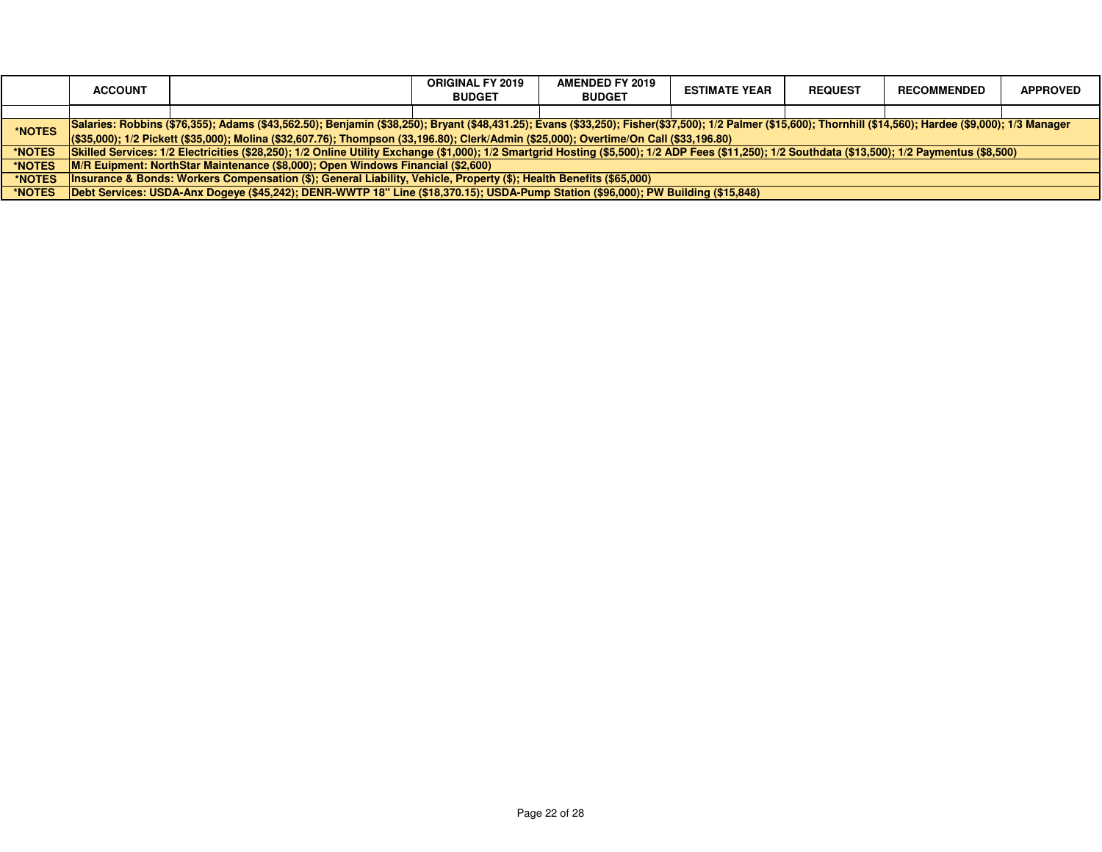|                                                                                                                                                                                                                        | <b>ACCOUNT</b>                                                                                                                         |                                                                                                                                                                                                    | <b>ORIGINAL FY 2019</b><br><b>BUDGET</b> | <b>AMENDED FY 2019</b><br><b>BUDGET</b> | <b>ESTIMATE YEAR</b> | <b>REQUEST</b> | <b>RECOMMENDED</b> | <b>APPROVED</b> |
|------------------------------------------------------------------------------------------------------------------------------------------------------------------------------------------------------------------------|----------------------------------------------------------------------------------------------------------------------------------------|----------------------------------------------------------------------------------------------------------------------------------------------------------------------------------------------------|------------------------------------------|-----------------------------------------|----------------------|----------------|--------------------|-----------------|
|                                                                                                                                                                                                                        |                                                                                                                                        |                                                                                                                                                                                                    |                                          |                                         |                      |                |                    |                 |
| Salaries: Robbins (\$76,355); Adams (\$43,562.50); Benjamin (\$38,250); Bryant (\$48,431.25); Evans (\$33,250); Fisher(\$37,500); 1/2 Palmer (\$15,600); Thornhill (\$14,560); Hardee (\$9,000); 1/3 Manager<br>*NOTES |                                                                                                                                        |                                                                                                                                                                                                    |                                          |                                         |                      |                |                    |                 |
|                                                                                                                                                                                                                        | (\$33,000); 1/2 Pickett (\$35,000); Molina (\$32,607.76); Thompson (33,196.80); Clerk/Admin (\$25,000); Overtime/On Call (\$33,196.80) |                                                                                                                                                                                                    |                                          |                                         |                      |                |                    |                 |
| *NOTES                                                                                                                                                                                                                 |                                                                                                                                        | Skilled Services: 1/2 Electricities (\$28,250); 1/2 Online Utility Exchange (\$1,000); 1/2 Smartgrid Hosting (\$5,500); 1/2 ADP Fees (\$11,250); 1/2 Southdata (\$13,500); 1/2 Paymentus (\$8,500) |                                          |                                         |                      |                |                    |                 |
| *NOTES                                                                                                                                                                                                                 | M/R Euipment: NorthStar Maintenance (\$8,000); Open Windows Financial (\$2,600)                                                        |                                                                                                                                                                                                    |                                          |                                         |                      |                |                    |                 |
| *NOTES                                                                                                                                                                                                                 | Insurance & Bonds: Workers Compensation (\$); General Liability, Vehicle, Property (\$); Health Benefits (\$65,000)                    |                                                                                                                                                                                                    |                                          |                                         |                      |                |                    |                 |
| *NOTES                                                                                                                                                                                                                 | Debt Services: USDA-Anx Dogeve (\$45,242); DENR-WWTP 18" Line (\$18,370.15); USDA-Pump Station (\$96,000); PW Building (\$15,848)      |                                                                                                                                                                                                    |                                          |                                         |                      |                |                    |                 |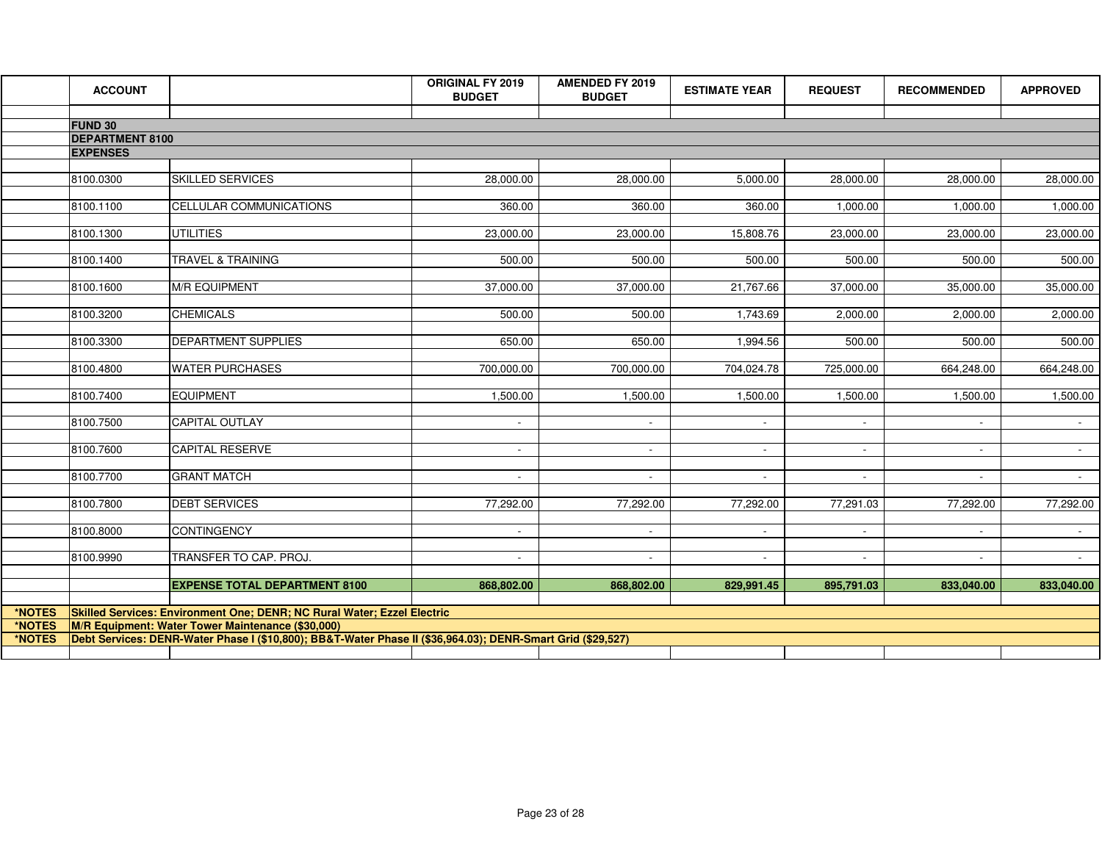|        | <b>ACCOUNT</b>         |                                                                                                             | <b>ORIGINAL FY 2019</b><br><b>BUDGET</b> | <b>AMENDED FY 2019</b><br><b>BUDGET</b> | <b>ESTIMATE YEAR</b>     | <b>REQUEST</b> | <b>RECOMMENDED</b> | <b>APPROVED</b>     |
|--------|------------------------|-------------------------------------------------------------------------------------------------------------|------------------------------------------|-----------------------------------------|--------------------------|----------------|--------------------|---------------------|
|        | <b>FUND 30</b>         |                                                                                                             |                                          |                                         |                          |                |                    |                     |
|        | <b>DEPARTMENT 8100</b> |                                                                                                             |                                          |                                         |                          |                |                    |                     |
|        | <b>EXPENSES</b>        |                                                                                                             |                                          |                                         |                          |                |                    |                     |
|        |                        |                                                                                                             |                                          |                                         |                          |                |                    |                     |
|        | 8100.0300              | <b>SKILLED SERVICES</b>                                                                                     | 28,000.00                                | 28,000.00                               | 5,000.00                 | 28,000.00      | 28,000.00          | 28,000.00           |
|        | 8100.1100              | CELLULAR COMMUNICATIONS                                                                                     | 360.00                                   | 360.00                                  | 360.00                   | 1,000.00       | 1,000.00           | 1,000.00            |
|        | 8100.1300              | <b>UTILITIES</b>                                                                                            | 23,000.00                                | 23,000.00                               | 15,808.76                | 23,000.00      | 23,000.00          | 23,000.00           |
|        | 8100.1400              | TRAVEL & TRAINING                                                                                           | $\overline{500.00}$                      | 500.00                                  | 500.00                   | 500.00         | 500.00             | 500.00              |
|        | 8100.1600              | <b>M/R EQUIPMENT</b>                                                                                        | 37,000.00                                | 37,000.00                               | 21,767.66                | 37,000.00      | 35,000.00          | 35,000.00           |
|        | 8100.3200              | <b>CHEMICALS</b>                                                                                            | 500.00                                   | 500.00                                  | 1,743.69                 | 2,000.00       | 2,000.00           | 2,000.00            |
|        | 8100.3300              | <b>DEPARTMENT SUPPLIES</b>                                                                                  | 650.00                                   | 650.00                                  | 1,994.56                 | 500.00         | 500.00             | 500.00              |
|        | 8100.4800              | <b>WATER PURCHASES</b>                                                                                      | 700,000.00                               | 700,000.00                              | 704,024.78               | 725,000.00     | 664,248.00         | 664,248.00          |
|        | 8100.7400              | <b>EQUIPMENT</b>                                                                                            | 1,500.00                                 | 1,500.00                                | 1,500.00                 | 1,500.00       | 1,500.00           | 1,500.00            |
|        | 8100.7500              | CAPITAL OUTLAY                                                                                              | $\overline{a}$                           | $\sim$                                  | $\mathbf{r}$             |                |                    |                     |
|        | 8100.7600              | <b>CAPITAL RESERVE</b>                                                                                      | $\overline{\phantom{a}}$                 | $\blacksquare$                          | $\overline{\phantom{a}}$ | $\sim$         |                    | $\sim$              |
|        | 8100.7700              | <b>GRANT MATCH</b>                                                                                          | $\sim$                                   | $\sim$                                  | $\sim$                   |                |                    | $\sigma_{\rm{max}}$ |
|        | 8100.7800              | <b>DEBT SERVICES</b>                                                                                        | 77,292.00                                | 77,292.00                               | 77,292.00                | 77,291.03      | 77,292.00          | 77,292.00           |
|        | 8100.8000              | <b>CONTINGENCY</b>                                                                                          | $\sim$                                   | $\sim$                                  | $\sim$                   | $\sim$         | $\sim$             | $\sim 100$          |
|        | 8100.9990              | TRANSFER TO CAP. PROJ.                                                                                      | $\sim$                                   | $\sim$                                  | $\sim$                   | $\sim$         | $\sim$             | $\sim$              |
|        |                        | <b>EXPENSE TOTAL DEPARTMENT 8100</b>                                                                        | 868,802.00                               | 868,802.00                              | 829,991.45               | 895,791.03     | 833,040.00         | 833,040.00          |
| *NOTES |                        | Skilled Services: Environment One; DENR; NC Rural Water; Ezzel Electric                                     |                                          |                                         |                          |                |                    |                     |
| *NOTES |                        | M/R Equipment: Water Tower Maintenance (\$30,000)                                                           |                                          |                                         |                          |                |                    |                     |
| *NOTES |                        | Debt Services: DENR-Water Phase I (\$10,800); BB&T-Water Phase II (\$36,964.03); DENR-Smart Grid (\$29,527) |                                          |                                         |                          |                |                    |                     |
|        |                        |                                                                                                             |                                          |                                         |                          |                |                    |                     |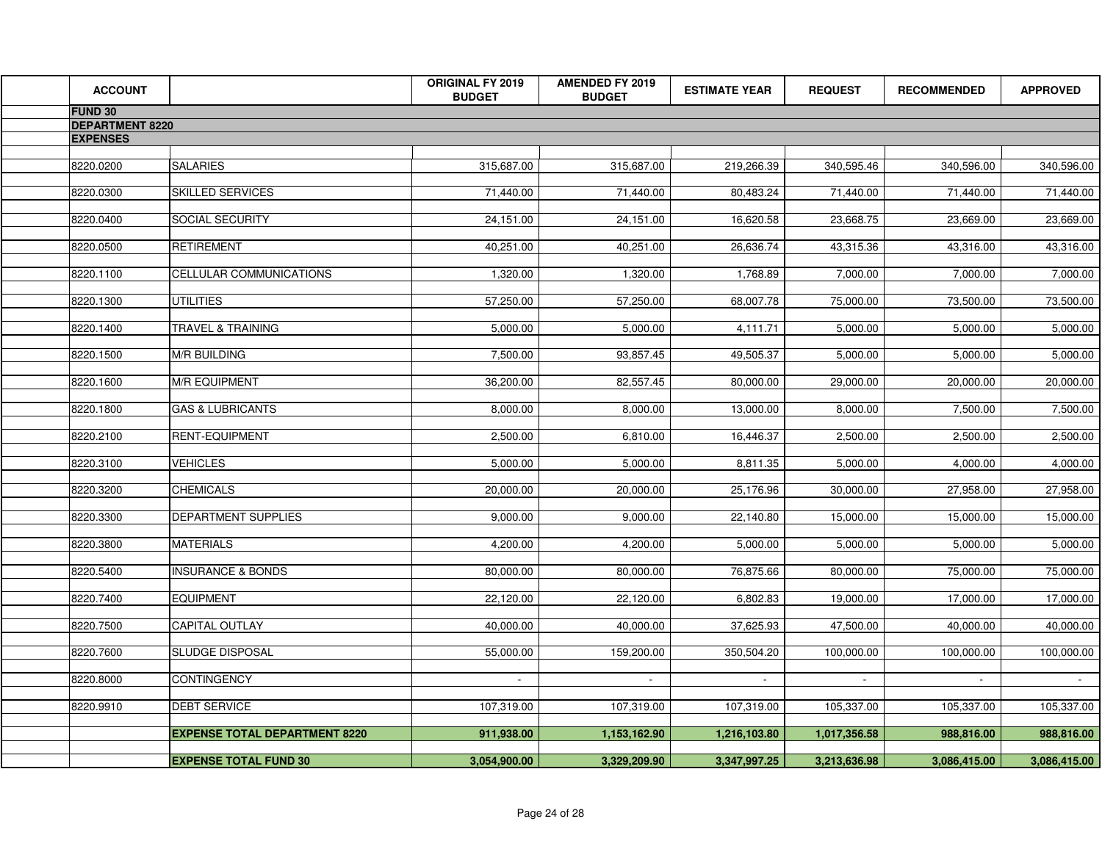| <b>ACCOUNT</b>         |                                      | <b>ORIGINAL FY 2019</b><br><b>BUDGET</b> | <b>AMENDED FY 2019</b><br><b>BUDGET</b> | <b>ESTIMATE YEAR</b> | <b>REQUEST</b> | <b>RECOMMENDED</b> | <b>APPROVED</b> |
|------------------------|--------------------------------------|------------------------------------------|-----------------------------------------|----------------------|----------------|--------------------|-----------------|
| <b>FUND 30</b>         |                                      |                                          |                                         |                      |                |                    |                 |
| <b>DEPARTMENT 8220</b> |                                      |                                          |                                         |                      |                |                    |                 |
| <b>EXPENSES</b>        |                                      |                                          |                                         |                      |                |                    |                 |
| 8220.0200              | <b>SALARIES</b>                      | 315,687.00                               | 315,687.00                              | 219,266.39           | 340,595.46     | 340,596.00         | 340,596.00      |
|                        |                                      |                                          |                                         |                      |                |                    |                 |
| 8220.0300              | <b>SKILLED SERVICES</b>              | 71,440.00                                | 71,440.00                               | 80,483.24            | 71,440.00      | 71,440.00          | 71,440.00       |
| 8220.0400              | SOCIAL SECURITY                      | 24,151.00                                | 24,151.00                               | 16,620.58            | 23,668.75      | 23,669.00          | 23,669.00       |
|                        |                                      |                                          |                                         |                      |                |                    |                 |
| 8220.0500              | <b>RETIREMENT</b>                    | 40,251.00                                | 40,251.00                               | 26,636.74            | 43,315.36      | 43,316.00          | 43,316.00       |
| 8220.1100              | CELLULAR COMMUNICATIONS              | 1,320.00                                 | 1,320.00                                | 1,768.89             | 7,000.00       | 7,000.00           | 7,000.00        |
|                        |                                      |                                          |                                         |                      |                |                    |                 |
| 8220.1300              | <b>UTILITIES</b>                     | 57,250.00                                | 57,250.00                               | 68,007.78            | 75,000.00      | 73,500.00          | 73,500.00       |
| 8220.1400              | TRAVEL & TRAINING                    | 5,000.00                                 | 5,000.00                                | 4,111.71             | 5,000.00       | 5,000.00           | 5,000.00        |
|                        |                                      |                                          |                                         |                      |                |                    |                 |
| 8220.1500              | <b>M/R BUILDING</b>                  | 7,500.00                                 | 93,857.45                               | 49,505.37            | 5,000.00       | 5,000.00           | 5,000.00        |
| 8220.1600              | <b>M/R EQUIPMENT</b>                 | 36,200.00                                | 82,557.45                               | 80,000.00            | 29,000.00      | 20,000.00          | 20,000.00       |
|                        |                                      |                                          |                                         |                      |                |                    |                 |
| 8220.1800              | <b>GAS &amp; LUBRICANTS</b>          | 8,000.00                                 | 8,000.00                                | 13,000.00            | 8,000.00       | 7,500.00           | 7,500.00        |
| 8220.2100              | RENT-EQUIPMENT                       | 2,500.00                                 | 6,810.00                                | 16,446.37            | 2,500.00       | 2,500.00           | 2,500.00        |
|                        |                                      |                                          |                                         |                      |                |                    |                 |
| 8220.3100              | <b>VEHICLES</b>                      | 5,000.00                                 | 5,000.00                                | 8,811.35             | 5,000.00       | 4,000.00           | 4,000.00        |
| 8220.3200              | <b>CHEMICALS</b>                     | 20,000.00                                | 20,000.00                               | 25,176.96            | 30,000.00      | 27,958.00          | 27,958.00       |
|                        |                                      |                                          |                                         |                      |                |                    |                 |
| 8220.3300              | <b>DEPARTMENT SUPPLIES</b>           | 9,000.00                                 | 9,000.00                                | 22,140.80            | 15,000.00      | 15,000.00          | 15,000.00       |
| 8220.3800              | <b>MATERIALS</b>                     | 4,200.00                                 | 4,200.00                                | 5,000.00             | 5,000.00       | 5,000.00           | 5,000.00        |
|                        |                                      |                                          |                                         |                      |                |                    |                 |
| 8220.5400              | <b>INSURANCE &amp; BONDS</b>         | 80,000.00                                | 80,000.00                               | 76,875.66            | 80,000.00      | 75,000.00          | 75,000.00       |
| 8220.7400              | <b>EQUIPMENT</b>                     | 22,120.00                                | 22,120.00                               | 6,802.83             | 19,000.00      | 17,000.00          | 17,000.00       |
|                        |                                      |                                          |                                         |                      |                |                    |                 |
| 8220.7500              | CAPITAL OUTLAY                       | 40,000.00                                | 40,000.00                               | 37,625.93            | 47,500.00      | 40,000.00          | 40,000.00       |
| 8220.7600              | <b>SLUDGE DISPOSAL</b>               | 55,000.00                                | 159,200.00                              | 350,504.20           | 100,000.00     | 100,000.00         | 100,000.00      |
|                        |                                      |                                          |                                         |                      |                |                    |                 |
| 8220.8000              | CONTINGENCY                          | $\sim$                                   | $\sim$                                  |                      |                |                    | $\sim$          |
| 8220.9910              | <b>DEBT SERVICE</b>                  | 107,319.00                               | 107,319.00                              | 107,319.00           | 105,337.00     | 105,337.00         | 105,337.00      |
|                        |                                      |                                          |                                         |                      |                |                    |                 |
|                        | <b>EXPENSE TOTAL DEPARTMENT 8220</b> | 911,938.00                               | 1,153,162.90                            | 1,216,103.80         | 1,017,356.58   | 988,816.00         | 988,816.00      |
|                        | <b>EXPENSE TOTAL FUND 30</b>         | 3,054,900.00                             | 3,329,209.90                            | 3,347,997.25         | 3,213,636.98   | 3,086,415.00       | 3,086,415.00    |
|                        |                                      |                                          |                                         |                      |                |                    |                 |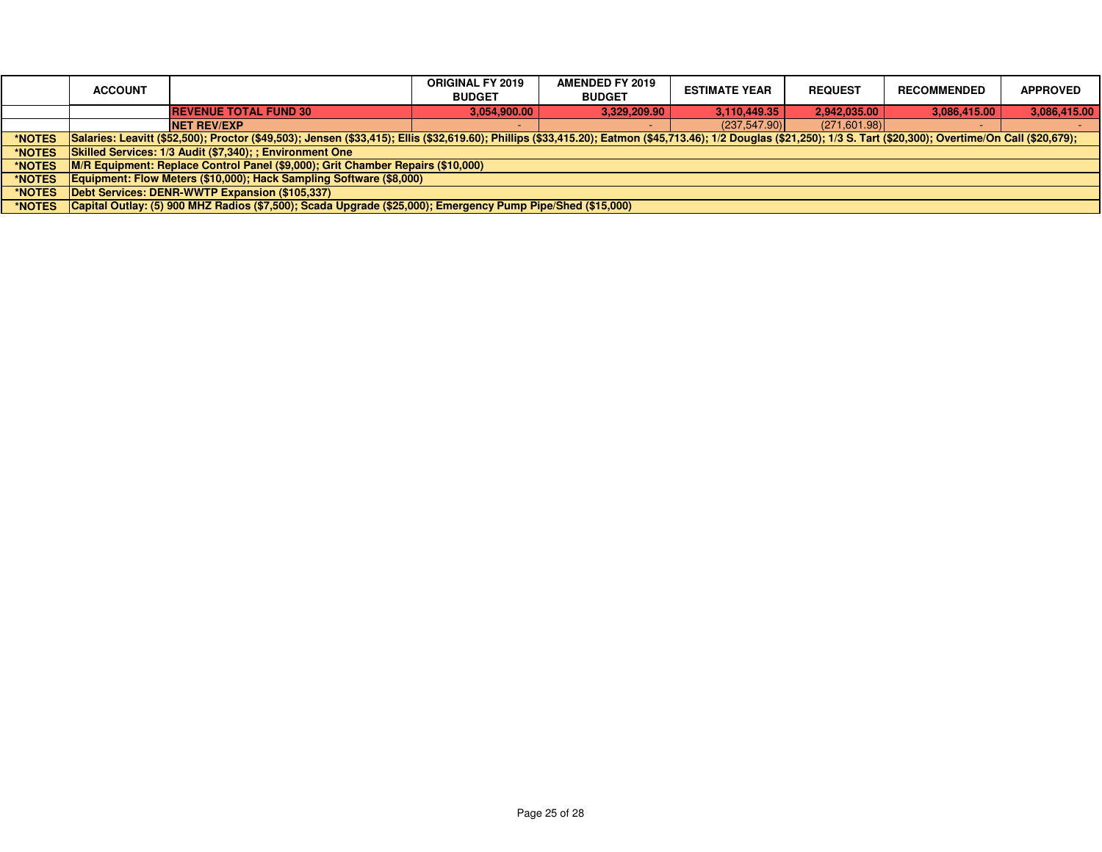|               | <b>ACCOUNT</b>                                                                                                                                                                                                       | <b>ORIGINAL FY 2019</b><br><b>BUDGET</b> | <b>AMENDED FY 2019</b><br><b>BUDGET</b> | <b>ESTIMATE YEAR</b> | <b>REQUEST</b> | <b>RECOMMENDED</b> | <b>APPROVED</b> |  |
|---------------|----------------------------------------------------------------------------------------------------------------------------------------------------------------------------------------------------------------------|------------------------------------------|-----------------------------------------|----------------------|----------------|--------------------|-----------------|--|
|               | <b>REVENUE TOTAL FUND 30</b>                                                                                                                                                                                         | 3,054,900.00                             | 3.329.209.90                            | 3.110.449.35         | 2.942.035.00   | 3.086.415.00       | 3,086,415.00    |  |
|               | <b>NET REV/EXP</b>                                                                                                                                                                                                   |                                          |                                         | (237, 547.90)        | (271,601.98)   |                    |                 |  |
| *NOTES        | Salaries: Leavitt (\$52,500); Proctor (\$49,503); Jensen (\$33,415); Ellis (\$32,619.60); Phillips (\$33,415.20); Eatmon (\$45,713.46); 1/2 Douglas (\$21,250); 1/3 S. Tart (\$20,300); Overtime/On Call (\$20,679); |                                          |                                         |                      |                |                    |                 |  |
| <b>*NOTES</b> | Skilled Services: 1/3 Audit (\$7,340); ; Environment One                                                                                                                                                             |                                          |                                         |                      |                |                    |                 |  |
| <b>*NOTES</b> | M/R Equipment: Replace Control Panel (\$9,000); Grit Chamber Repairs (\$10,000)                                                                                                                                      |                                          |                                         |                      |                |                    |                 |  |
| <b>*NOTES</b> | Equipment: Flow Meters (\$10,000); Hack Sampling Software (\$8,000)                                                                                                                                                  |                                          |                                         |                      |                |                    |                 |  |
| <b>*NOTES</b> | Debt Services: DENR-WWTP Expansion (\$105,337)                                                                                                                                                                       |                                          |                                         |                      |                |                    |                 |  |
| *NOTES        | Capital Outlay: (5) 900 MHZ Radios (\$7,500); Scada Upgrade (\$25,000); Emergency Pump Pipe/Shed (\$15,000)                                                                                                          |                                          |                                         |                      |                |                    |                 |  |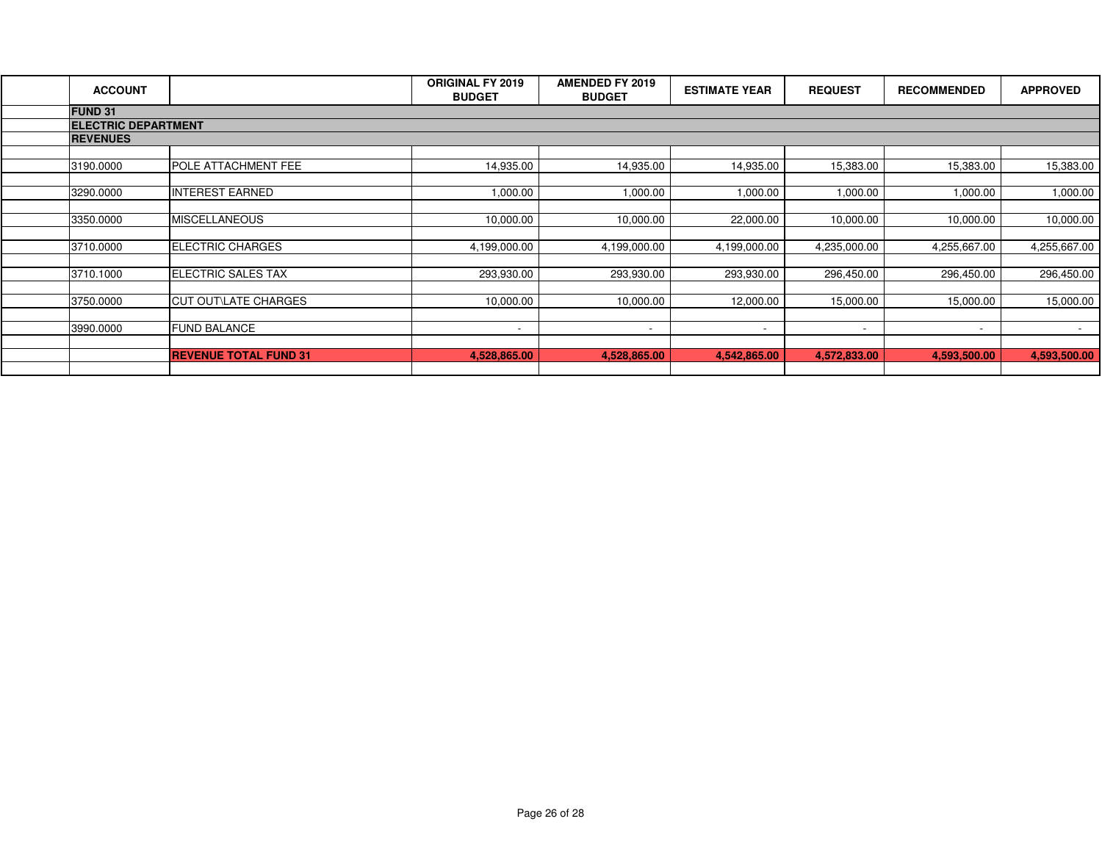| <b>ACCOUNT</b>             |                              | <b>ORIGINAL FY 2019</b><br><b>BUDGET</b> | <b>AMENDED FY 2019</b><br><b>BUDGET</b> | <b>ESTIMATE YEAR</b> | <b>REQUEST</b>           | <b>RECOMMENDED</b>       | <b>APPROVED</b> |  |  |
|----------------------------|------------------------------|------------------------------------------|-----------------------------------------|----------------------|--------------------------|--------------------------|-----------------|--|--|
| <b>FUND 31</b>             |                              |                                          |                                         |                      |                          |                          |                 |  |  |
| <b>ELECTRIC DEPARTMENT</b> |                              |                                          |                                         |                      |                          |                          |                 |  |  |
| <b>REVENUES</b>            |                              |                                          |                                         |                      |                          |                          |                 |  |  |
|                            |                              |                                          |                                         |                      |                          |                          |                 |  |  |
| 3190.0000                  | POLE ATTACHMENT FEE          | 14,935.00                                | 14,935.00                               | 14,935.00            | 15,383.00                | 15,383.00                | 15,383.00       |  |  |
|                            |                              |                                          |                                         |                      |                          |                          |                 |  |  |
| 3290.0000                  | <b>INTEREST EARNED</b>       | 1,000.00                                 | 1,000.00                                | 000.00.1             | 1,000.00                 | 1,000.00                 | 1,000.00        |  |  |
|                            |                              |                                          |                                         |                      |                          |                          |                 |  |  |
| 3350.0000                  | <b>MISCELLANEOUS</b>         | 10,000.00                                | 10,000.00                               | 22,000.00            | 10,000.00                | 10,000.00                | 10,000.00       |  |  |
|                            |                              |                                          |                                         |                      |                          |                          |                 |  |  |
| 3710.0000                  | <b>ELECTRIC CHARGES</b>      | 4,199,000.00                             | 4,199,000.00                            | 4,199,000.00         | 4,235,000.00             | 4,255,667.00             | 4,255,667.00    |  |  |
|                            |                              |                                          |                                         |                      |                          |                          |                 |  |  |
| 3710.1000                  | <b>ELECTRIC SALES TAX</b>    | 293,930.00                               | 293,930.00                              | 293,930.00           | 296,450.00               | 296,450.00               | 296,450.00      |  |  |
|                            |                              |                                          |                                         |                      |                          |                          |                 |  |  |
| 3750.0000                  | <b>CUT OUT\LATE CHARGES</b>  | 10,000.00                                | 10,000.00                               | 12,000.00            | 15,000.00                | 15,000.00                | 15,000.00       |  |  |
|                            |                              |                                          |                                         |                      |                          |                          |                 |  |  |
| 3990.0000                  | <b>FUND BALANCE</b>          | $\overline{\phantom{a}}$                 | $\sim$                                  | $\sim$               | $\overline{\phantom{a}}$ | $\overline{\phantom{0}}$ | $\sim$          |  |  |
|                            |                              |                                          |                                         |                      |                          |                          |                 |  |  |
|                            | <b>REVENUE TOTAL FUND 31</b> | 4,528,865.00                             | 4,528,865.00                            | 4,542,865.00         | 4,572,833.00             | 4,593,500.00             | 4,593,500.00    |  |  |
|                            |                              |                                          |                                         |                      |                          |                          |                 |  |  |
|                            |                              |                                          |                                         |                      |                          |                          |                 |  |  |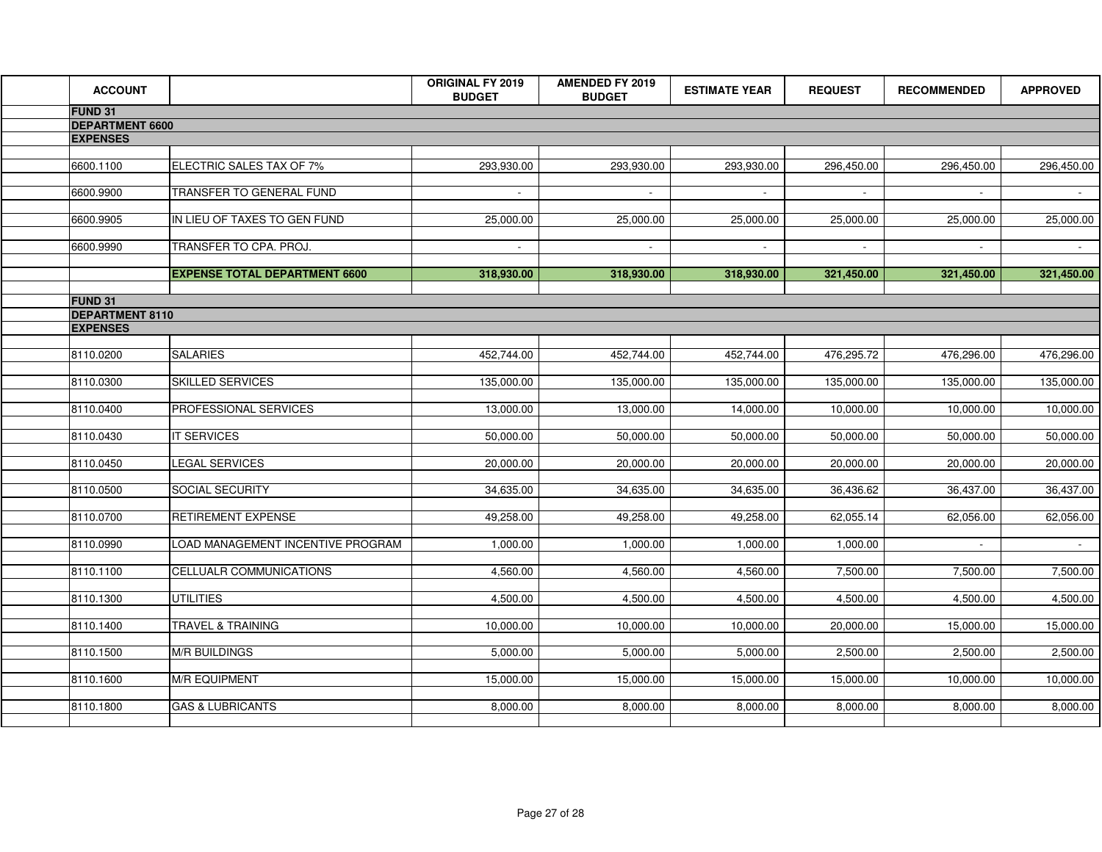| <b>ACCOUNT</b>                            |                                      | ORIGINAL FY 2019<br><b>BUDGET</b> | <b>AMENDED FY 2019</b><br><b>BUDGET</b> | <b>ESTIMATE YEAR</b> | <b>REQUEST</b> | <b>RECOMMENDED</b> | <b>APPROVED</b> |
|-------------------------------------------|--------------------------------------|-----------------------------------|-----------------------------------------|----------------------|----------------|--------------------|-----------------|
| FUND 31                                   |                                      |                                   |                                         |                      |                |                    |                 |
| <b>DEPARTMENT 6600</b><br><b>EXPENSES</b> |                                      |                                   |                                         |                      |                |                    |                 |
|                                           |                                      |                                   |                                         |                      |                |                    |                 |
| 6600.1100                                 | ELECTRIC SALES TAX OF 7%             | 293,930.00                        | 293,930.00                              | 293,930.00           | 296,450.00     | 296,450.00         | 296,450.00      |
| 6600.9900                                 | TRANSFER TO GENERAL FUND             |                                   |                                         |                      |                |                    |                 |
| 6600.9905                                 | IN LIEU OF TAXES TO GEN FUND         | 25,000.00                         | 25,000.00                               | 25,000.00            | 25,000.00      | 25,000.00          | 25,000.00       |
| 6600.9990                                 | TRANSFER TO CPA. PROJ.               | $\sim$                            | $\sim$                                  | $\sim$               | $\sim$         | $\sim$             | $\sim$ $-$      |
|                                           | <b>EXPENSE TOTAL DEPARTMENT 6600</b> | 318,930.00                        | 318,930.00                              | 318,930.00           | 321,450.00     | 321,450.00         | 321,450.00      |
| <b>FUND 31</b>                            |                                      |                                   |                                         |                      |                |                    |                 |
| <b>DEPARTMENT 8110</b><br><b>EXPENSES</b> |                                      |                                   |                                         |                      |                |                    |                 |
|                                           |                                      |                                   |                                         |                      |                |                    |                 |
| 8110.0200                                 | <b>SALARIES</b>                      | 452,744.00                        | 452,744.00                              | 452,744.00           | 476,295.72     | 476,296.00         | 476,296.00      |
| 8110.0300                                 | <b>SKILLED SERVICES</b>              | 135,000.00                        | 135,000.00                              | 135,000.00           | 135,000.00     | 135,000.00         | 135,000.00      |
| 8110.0400                                 | PROFESSIONAL SERVICES                | 13,000.00                         | 13,000.00                               | 14,000.00            | 10,000.00      | 10,000.00          | 10,000.00       |
| 8110.0430                                 | <b>IT SERVICES</b>                   | 50,000.00                         | 50,000.00                               | 50,000.00            | 50,000.00      | 50,000.00          | 50,000.00       |
| 8110.0450                                 | LEGAL SERVICES                       | 20,000.00                         | 20,000.00                               | 20,000.00            | 20,000.00      | 20,000.00          | 20,000.00       |
| 8110.0500                                 | SOCIAL SECURITY                      | 34,635.00                         | 34,635.00                               | 34,635.00            | 36,436.62      | 36,437.00          | 36,437.00       |
| 8110.0700                                 | RETIREMENT EXPENSE                   | 49,258.00                         | 49,258.00                               | 49,258.00            | 62,055.14      | 62,056.00          | 62,056.00       |
| 8110.0990                                 | LOAD MANAGEMENT INCENTIVE PROGRAM    | 1,000.00                          | 1,000.00                                | 1,000.00             | 1,000.00       |                    |                 |
| 8110.1100                                 | CELLUALR COMMUNICATIONS              | 4,560.00                          | 4,560.00                                | 4,560.00             | 7,500.00       | 7,500.00           | 7,500.00        |
| 8110.1300                                 | <b>UTILITIES</b>                     | 4,500.00                          | 4,500.00                                | 4,500.00             | 4,500.00       | 4,500.00           | 4,500.00        |
| 8110.1400                                 | TRAVEL & TRAINING                    | 10,000.00                         | 10,000.00                               | 10,000.00            | 20,000.00      | 15,000.00          | 15,000.00       |
| 8110.1500                                 | M/R BUILDINGS                        | 5,000.00                          | 5,000.00                                | 5,000.00             | 2,500.00       | 2,500.00           | 2,500.00        |
| 8110.1600                                 | <b>M/R EQUIPMENT</b>                 | 15,000.00                         | 15,000.00                               | 15,000.00            | 15,000.00      | 10,000.00          | 10,000.00       |
| 8110.1800                                 | <b>GAS &amp; LUBRICANTS</b>          | 8,000.00                          | 8,000.00                                | 8,000.00             | 8,000.00       | 8,000.00           | 8,000.00        |